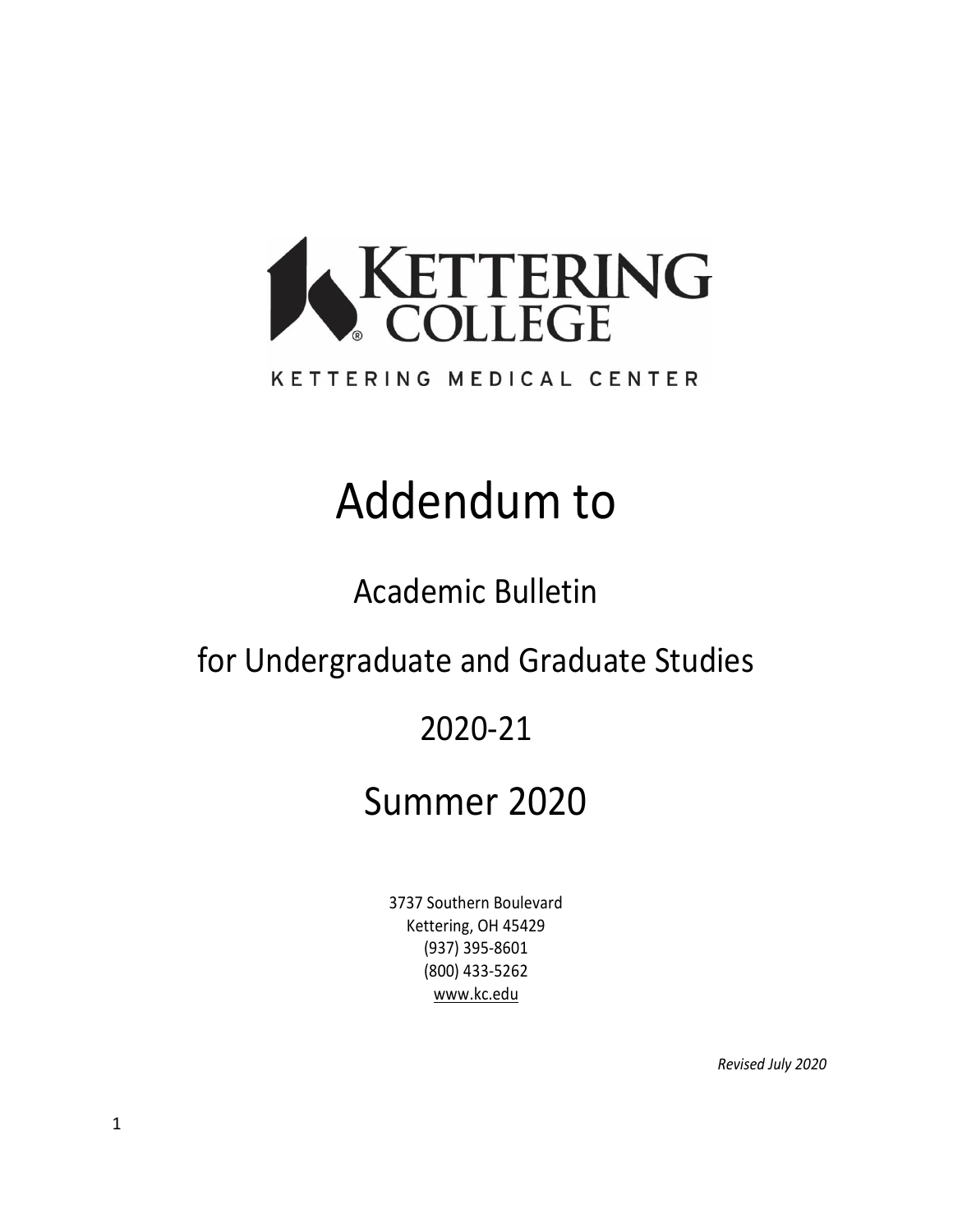

#### KETTERING MEDICAL CENTER

# Addendum to

Academic Bulletin

for Undergraduate and Graduate Studies

# 2020-21

# Summer 2020

3737 Southern Boulevard Kettering, OH 45429 (937) 395-8601 (800) 433-5262 [www.kc.edu](http://www.kc.edu/)

*Revised July 2020*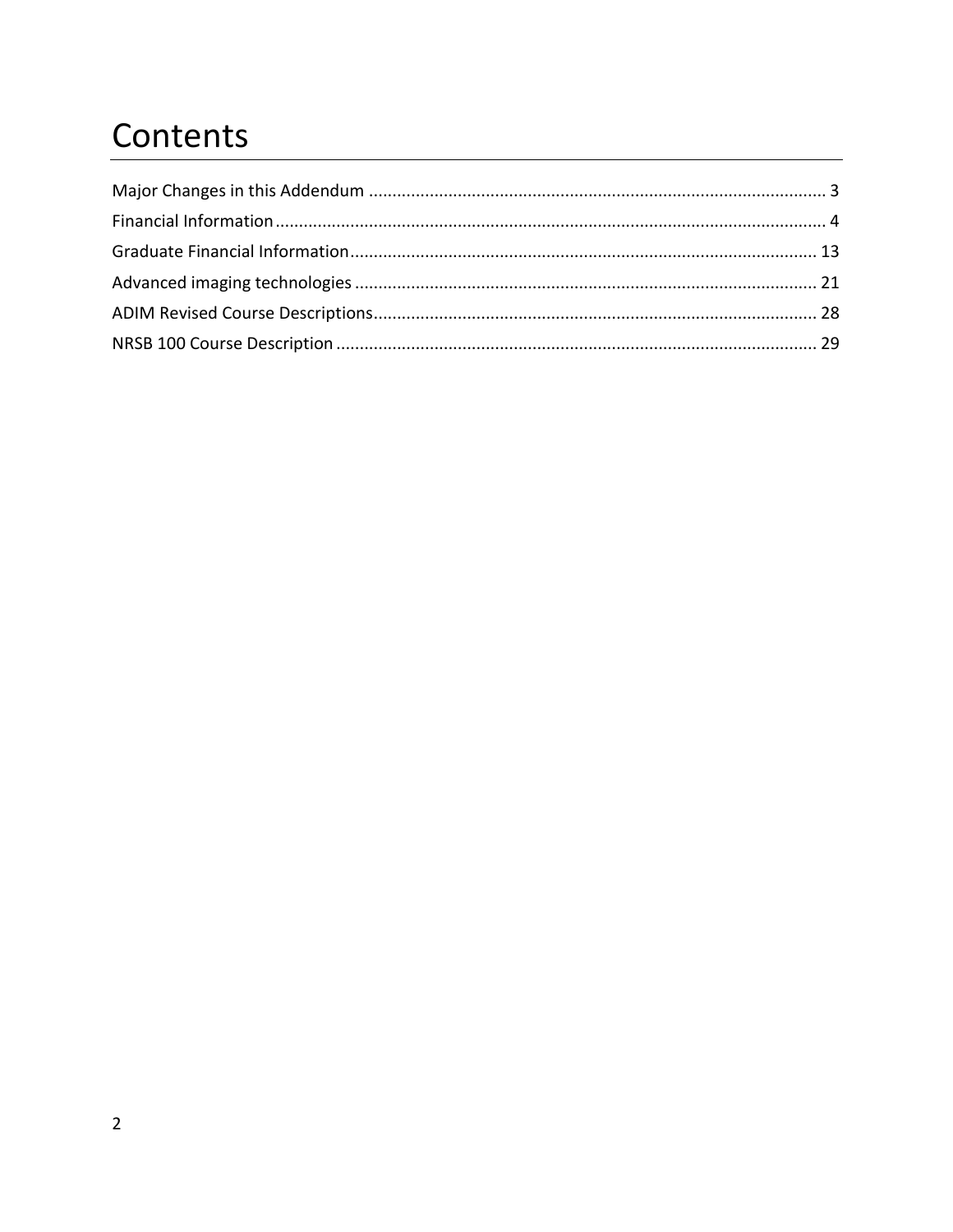# Contents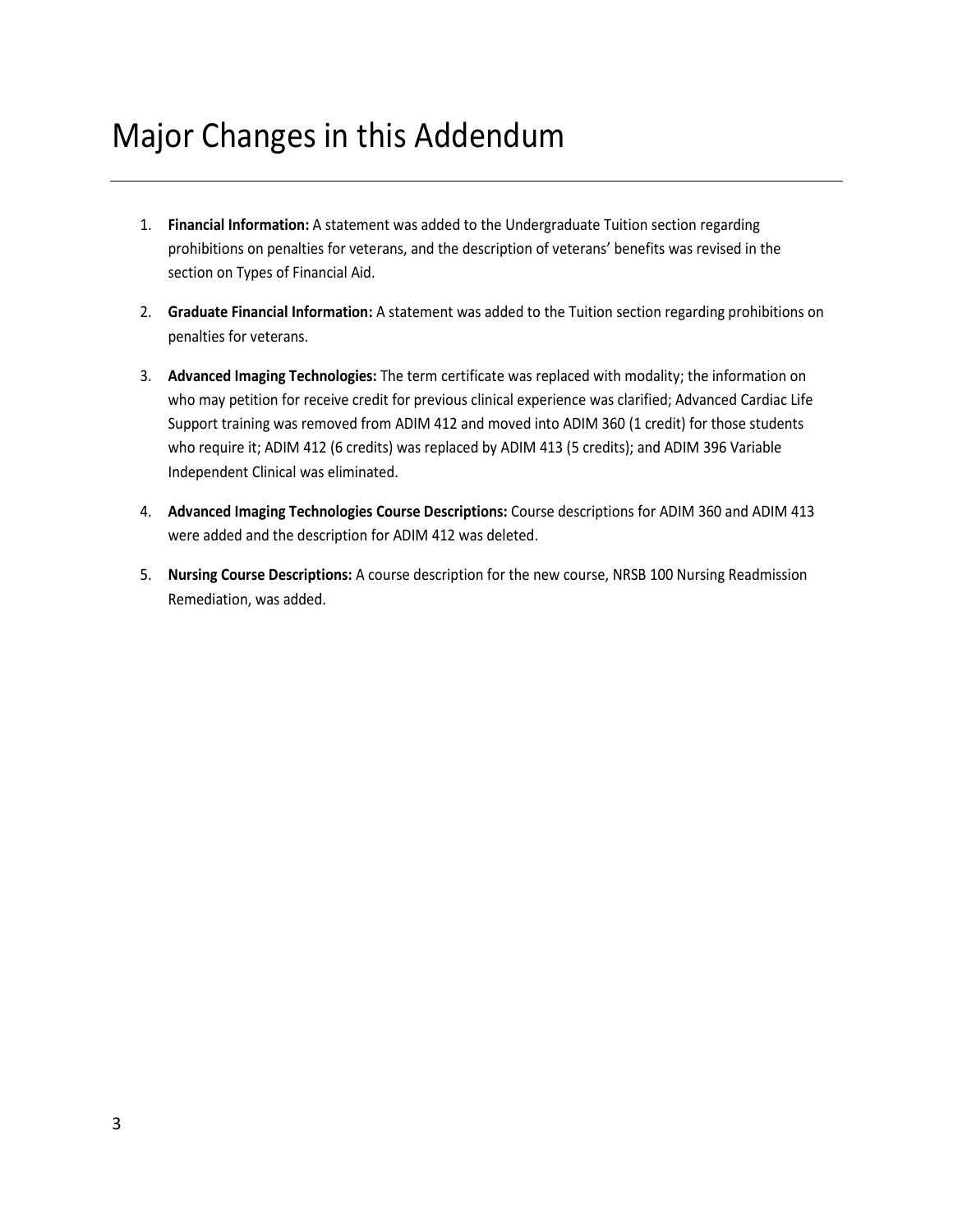# <span id="page-2-0"></span>Major Changes in this Addendum

- 1. **Financial Information:** A statement was added to the Undergraduate Tuition section regarding prohibitions on penalties for veterans, and the description of veterans' benefits was revised in the section on Types of Financial Aid.
- 2. **Graduate Financial Information:** A statement was added to the Tuition section regarding prohibitions on penalties for veterans.
- 3. **Advanced Imaging Technologies:** The term certificate was replaced with modality; the information on who may petition for receive credit for previous clinical experience was clarified; Advanced Cardiac Life Support training was removed from ADIM 412 and moved into ADIM 360 (1 credit) for those students who require it; ADIM 412 (6 credits) was replaced by ADIM 413 (5 credits); and ADIM 396 Variable Independent Clinical was eliminated.
- 4. **Advanced Imaging Technologies Course Descriptions:** Course descriptions for ADIM 360 and ADIM 413 were added and the description for ADIM 412 was deleted.
- 5. **Nursing Course Descriptions:** A course description for the new course, NRSB 100 Nursing Readmission Remediation, was added.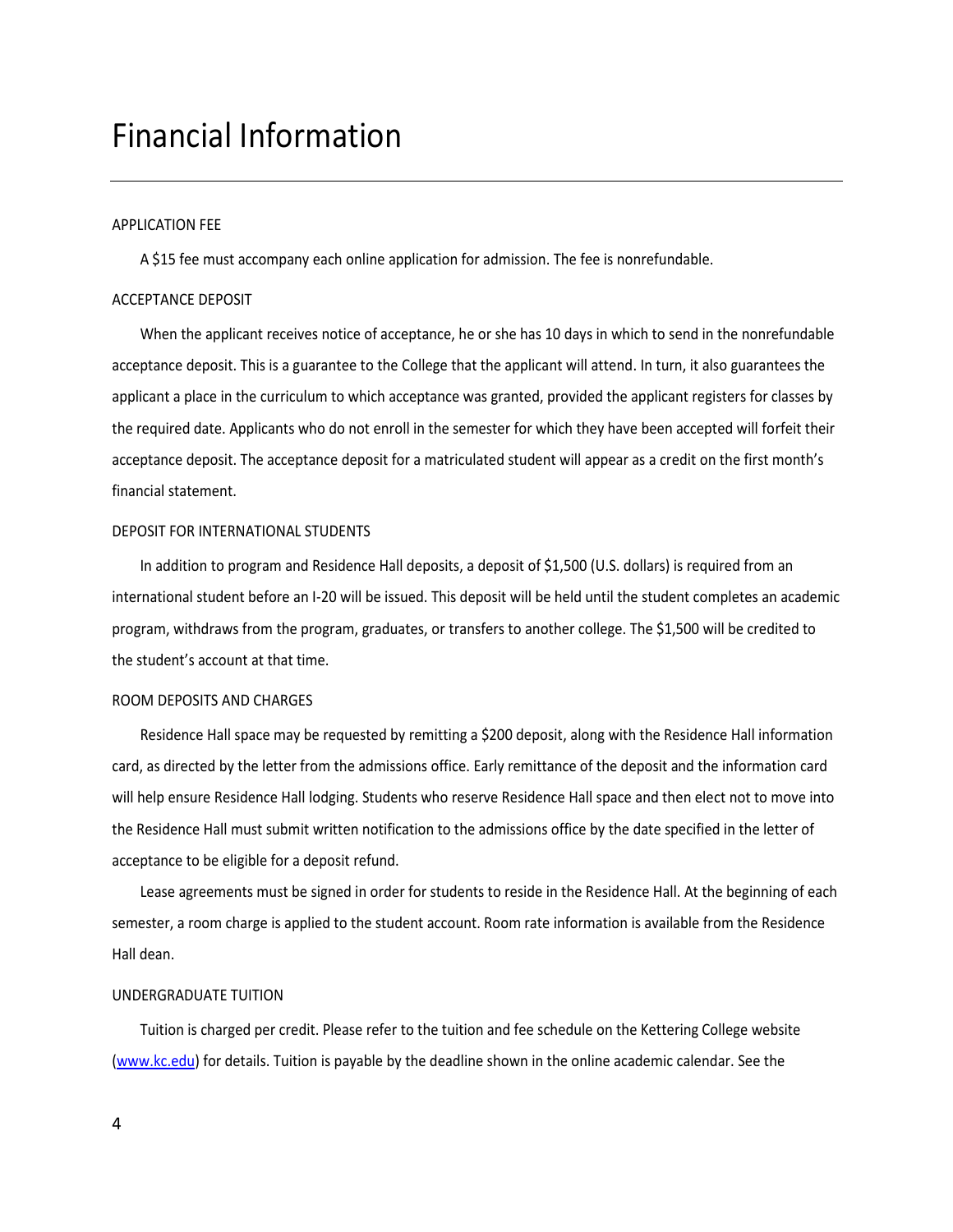### <span id="page-3-0"></span>Financial Information

#### APPLICATION FEE

A \$15 fee must accompany each online application for admission. The fee is nonrefundable.

#### ACCEPTANCE DEPOSIT

When the applicant receives notice of acceptance, he or she has 10 days in which to send in the nonrefundable acceptance deposit. This is a guarantee to the College that the applicant will attend. In turn, it also guarantees the applicant a place in the curriculum to which acceptance was granted, provided the applicant registers for classes by the required date. Applicants who do not enroll in the semester for which they have been accepted will forfeit their acceptance deposit. The acceptance deposit for a matriculated student will appear as a credit on the first month's financial statement.

#### DEPOSIT FOR INTERNATIONAL STUDENTS

In addition to program and Residence Hall deposits, a deposit of \$1,500 (U.S. dollars) is required from an international student before an I-20 will be issued. This deposit will be held until the student completes an academic program, withdraws from the program, graduates, or transfers to another college. The \$1,500 will be credited to the student's account at that time.

#### ROOM DEPOSITS AND CHARGES

Residence Hall space may be requested by remitting a \$200 deposit, along with the Residence Hall information card, as directed by the letter from the admissions office. Early remittance of the deposit and the information card will help ensure Residence Hall lodging. Students who reserve Residence Hall space and then elect not to move into the Residence Hall must submit written notification to the admissions office by the date specified in the letter of acceptance to be eligible for a deposit refund.

Lease agreements must be signed in order for students to reside in the Residence Hall. At the beginning of each semester, a room charge is applied to the student account. Room rate information is available from the Residence Hall dean.

#### UNDERGRADUATE TUITION

Tuition is charged per credit. Please refer to the tuition and fee schedule on the Kettering College website [\(www.kc.edu\)](http://www.kc.edu/) for details. Tuition is payable by the deadline shown in the online academic calendar. See the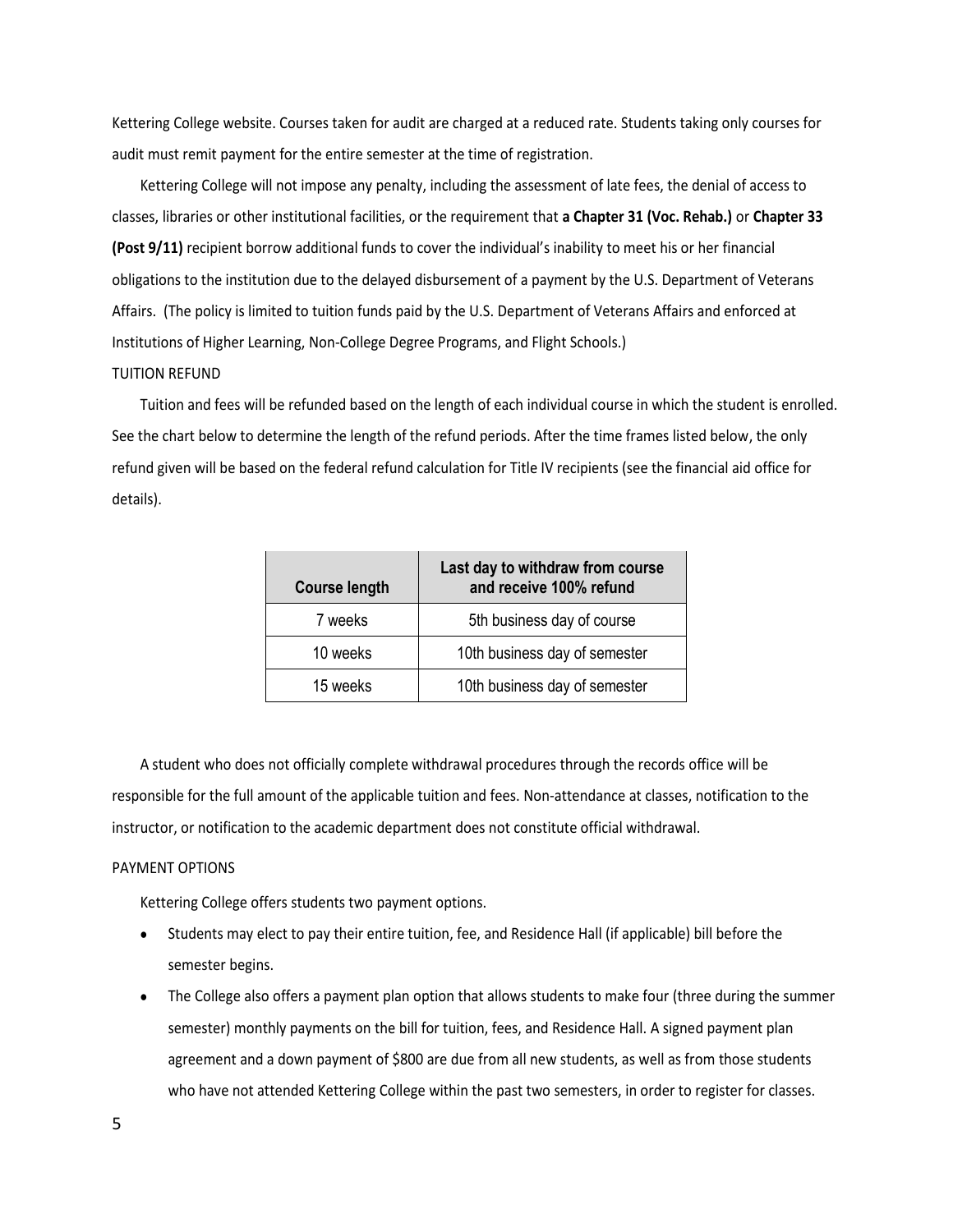Kettering College website. Courses taken for audit are charged at a reduced rate. Students taking only courses for audit must remit payment for the entire semester at the time of registration.

Kettering College will not impose any penalty, including the assessment of late fees, the denial of access to classes, libraries or other institutional facilities, or the requirement that **a Chapter 31 (Voc. Rehab.)** or **Chapter 33 (Post 9/11)** recipient borrow additional funds to cover the individual's inability to meet his or her financial obligations to the institution due to the delayed disbursement of a payment by the U.S. Department of Veterans Affairs. (The policy is limited to tuition funds paid by the U.S. Department of Veterans Affairs and enforced at Institutions of Higher Learning, Non-College Degree Programs, and Flight Schools.) TUITION REFUND

Tuition and fees will be refunded based on the length of each individual course in which the student is enrolled. See the chart below to determine the length of the refund periods. After the time frames listed below, the only refund given will be based on the federal refund calculation for Title IV recipients (see the financial aid office for details).

| <b>Course length</b> | Last day to withdraw from course<br>and receive 100% refund |
|----------------------|-------------------------------------------------------------|
| 7 weeks              | 5th business day of course                                  |
| 10 weeks             | 10th business day of semester                               |
| 15 weeks             | 10th business day of semester                               |

A student who does not officially complete withdrawal procedures through the records office will be responsible for the full amount of the applicable tuition and fees. Non-attendance at classes, notification to the instructor, or notification to the academic department does not constitute official withdrawal.

#### PAYMENT OPTIONS

Kettering College offers students two payment options.

- Students may elect to pay their entire tuition, fee, and Residence Hall (if applicable) bill before the semester begins.
- The College also offers a payment plan option that allows students to make four (three during the summer semester) monthly payments on the bill for tuition, fees, and Residence Hall. A signed payment plan agreement and a down payment of \$800 are due from all new students, as well as from those students who have not attended Kettering College within the past two semesters, in order to register for classes.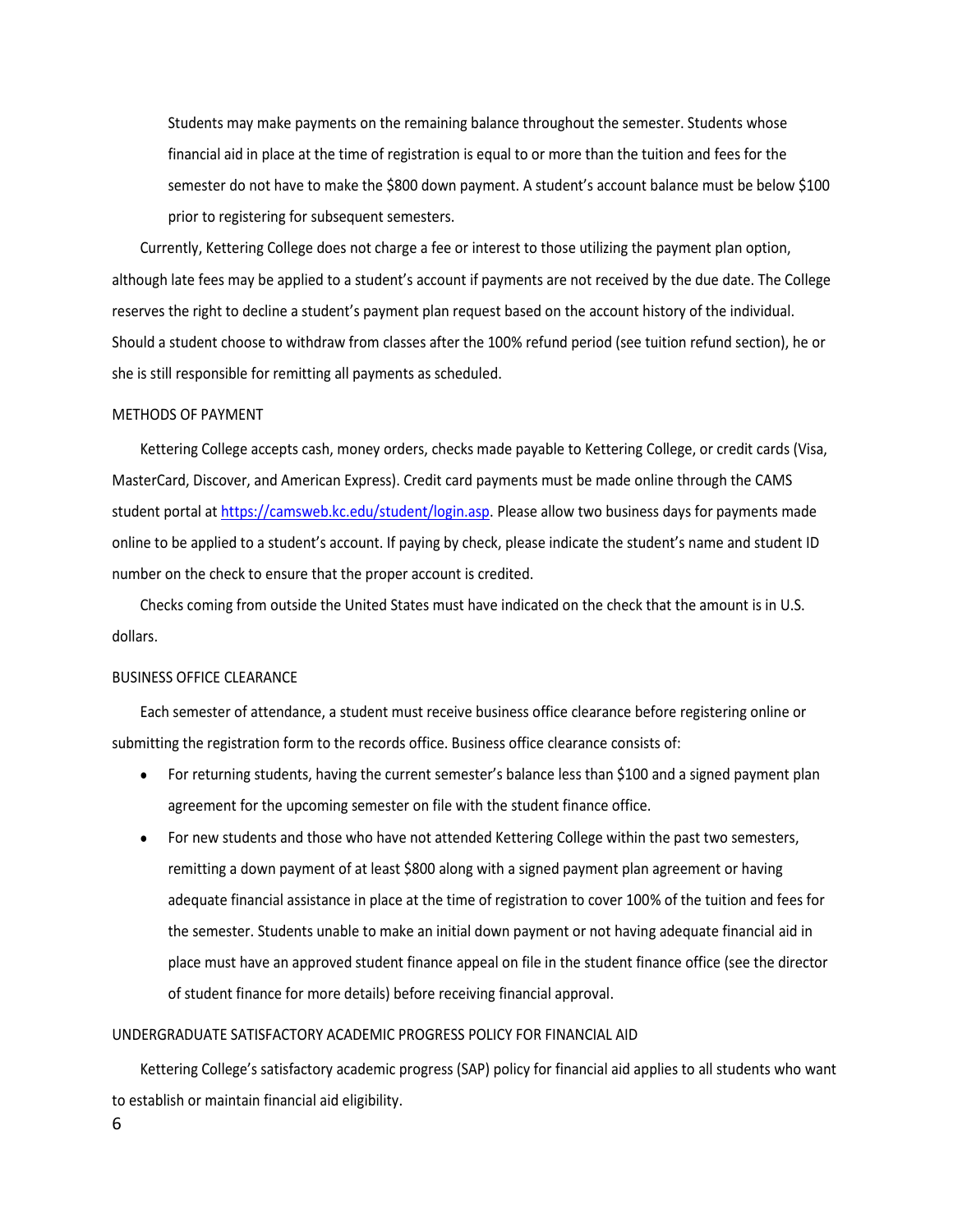Students may make payments on the remaining balance throughout the semester. Students whose financial aid in place at the time of registration is equal to or more than the tuition and fees for the semester do not have to make the \$800 down payment. A student's account balance must be below \$100 prior to registering for subsequent semesters.

Currently, Kettering College does not charge a fee or interest to those utilizing the payment plan option, although late fees may be applied to a student's account if payments are not received by the due date. The College reserves the right to decline a student's payment plan request based on the account history of the individual. Should a student choose to withdraw from classes after the 100% refund period (see tuition refund section), he or she is still responsible for remitting all payments as scheduled.

#### METHODS OF PAYMENT

Kettering College accepts cash, money orders, checks made payable to Kettering College, or credit cards (Visa, MasterCard, Discover, and American Express). Credit card payments must be made online through the CAMS student portal at [https://camsweb.kc.edu/student/login.asp.](https://camsweb.kc.edu/student/login.asp) Please allow two business days for payments made online to be applied to a student's account. If paying by check, please indicate the student's name and student ID number on the check to ensure that the proper account is credited.

Checks coming from outside the United States must have indicated on the check that the amount is in U.S. dollars.

#### BUSINESS OFFICE CLEARANCE

Each semester of attendance, a student must receive business office clearance before registering online or submitting the registration form to the records office. Business office clearance consists of:

- For returning students, having the current semester's balance less than \$100 and a signed payment plan agreement for the upcoming semester on file with the student finance office.
- For new students and those who have not attended Kettering College within the past two semesters, remitting a down payment of at least \$800 along with a signed payment plan agreement or having adequate financial assistance in place at the time of registration to cover 100% of the tuition and fees for the semester. Students unable to make an initial down payment or not having adequate financial aid in place must have an approved student finance appeal on file in the student finance office (see the director of student finance for more details) before receiving financial approval.

#### UNDERGRADUATE SATISFACTORY ACADEMIC PROGRESS POLICY FOR FINANCIAL AID

Kettering College's satisfactory academic progress (SAP) policy for financial aid applies to all students who want to establish or maintain financial aid eligibility.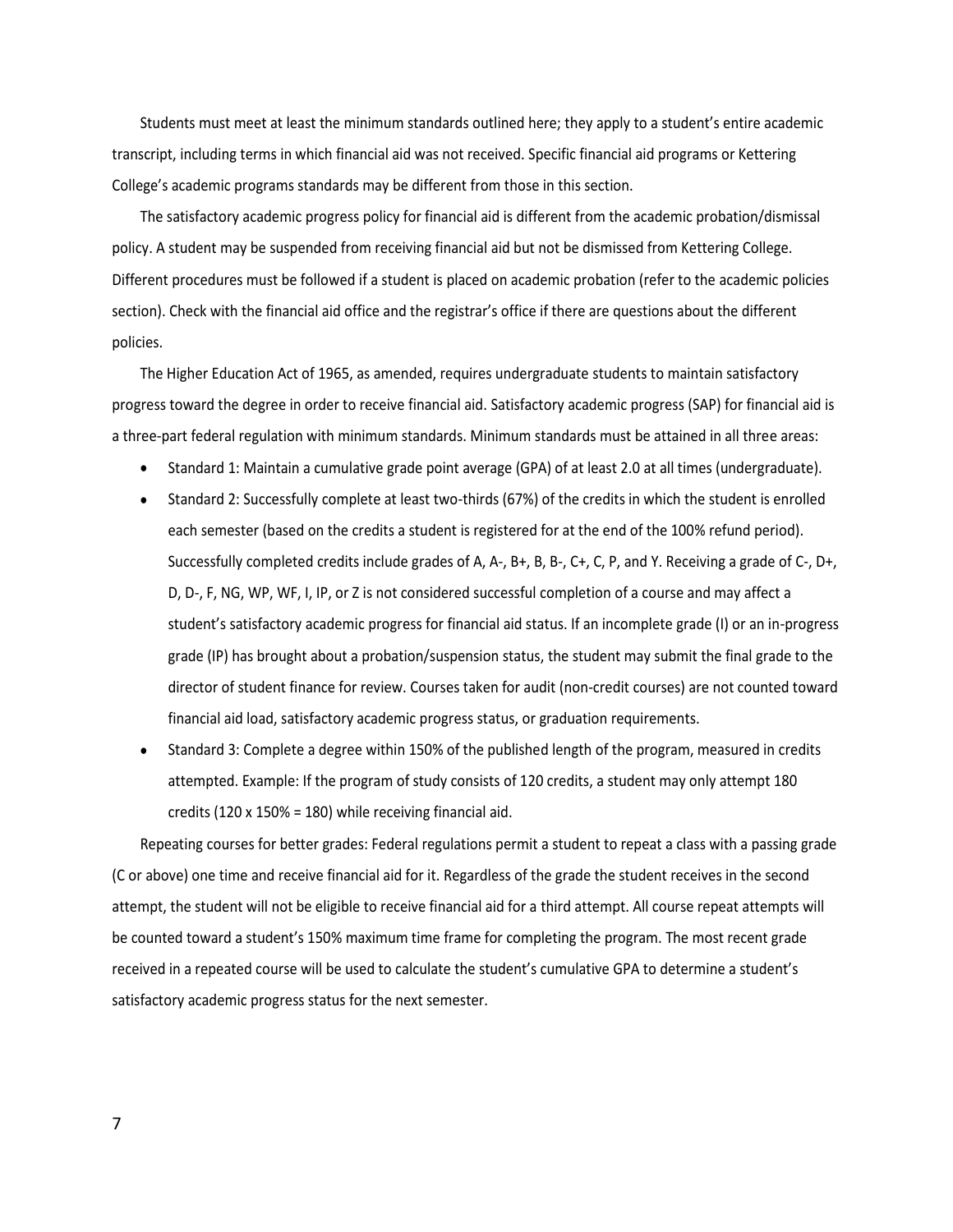Students must meet at least the minimum standards outlined here; they apply to a student's entire academic transcript, including terms in which financial aid was not received. Specific financial aid programs or Kettering College's academic programs standards may be different from those in this section.

The satisfactory academic progress policy for financial aid is different from the academic probation/dismissal policy. A student may be suspended from receiving financial aid but not be dismissed from Kettering College. Different procedures must be followed if a student is placed on academic probation (refer to the academic policies section). Check with the financial aid office and the registrar's office if there are questions about the different policies.

The Higher Education Act of 1965, as amended, requires undergraduate students to maintain satisfactory progress toward the degree in order to receive financial aid. Satisfactory academic progress (SAP) for financial aid is a three-part federal regulation with minimum standards. Minimum standards must be attained in all three areas:

- Standard 1: Maintain a cumulative grade point average (GPA) of at least 2.0 at all times (undergraduate).
- Standard 2: Successfully complete at least two-thirds (67%) of the credits in which the student is enrolled each semester (based on the credits a student is registered for at the end of the 100% refund period). Successfully completed credits include grades of A, A-, B+, B, B-, C+, C, P, and Y. Receiving a grade of C-, D+, D, D-, F, NG, WP, WF, I, IP, or Z is not considered successful completion of a course and may affect a student's satisfactory academic progress for financial aid status. If an incomplete grade (I) or an in-progress grade (IP) has brought about a probation/suspension status, the student may submit the final grade to the director of student finance for review. Courses taken for audit (non-credit courses) are not counted toward financial aid load, satisfactory academic progress status, or graduation requirements.
- Standard 3: Complete a degree within 150% of the published length of the program, measured in credits attempted. Example: If the program of study consists of 120 credits, a student may only attempt 180 credits (120 x 150% = 180) while receiving financial aid.

Repeating courses for better grades: Federal regulations permit a student to repeat a class with a passing grade (C or above) one time and receive financial aid for it. Regardless of the grade the student receives in the second attempt, the student will not be eligible to receive financial aid for a third attempt. All course repeat attempts will be counted toward a student's 150% maximum time frame for completing the program. The most recent grade received in a repeated course will be used to calculate the student's cumulative GPA to determine a student's satisfactory academic progress status for the next semester.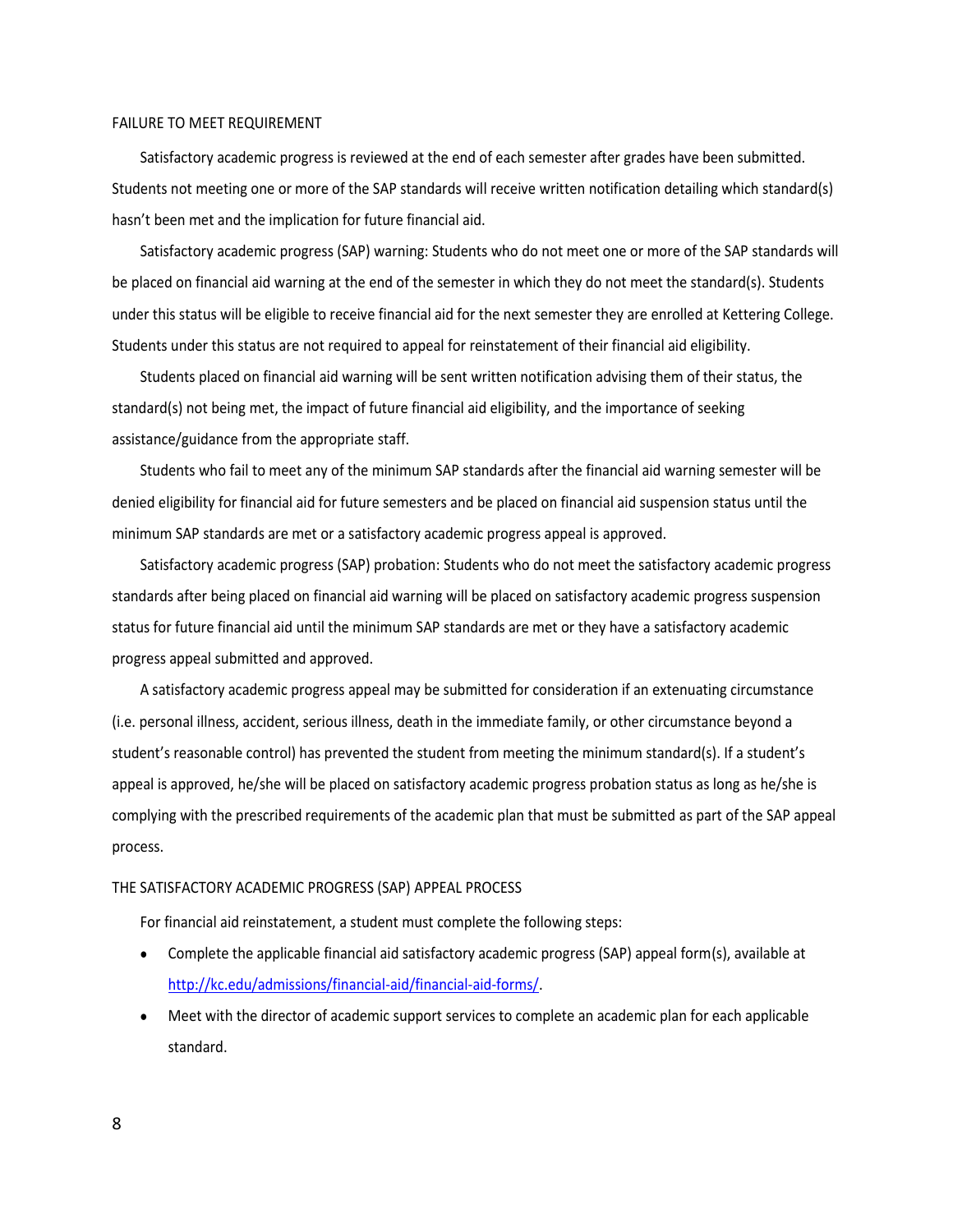#### FAILURE TO MEET REQUIREMENT

Satisfactory academic progress is reviewed at the end of each semester after grades have been submitted. Students not meeting one or more of the SAP standards will receive written notification detailing which standard(s) hasn't been met and the implication for future financial aid.

Satisfactory academic progress (SAP) warning: Students who do not meet one or more of the SAP standards will be placed on financial aid warning at the end of the semester in which they do not meet the standard(s). Students under this status will be eligible to receive financial aid for the next semester they are enrolled at Kettering College. Students under this status are not required to appeal for reinstatement of their financial aid eligibility.

Students placed on financial aid warning will be sent written notification advising them of their status, the standard(s) not being met, the impact of future financial aid eligibility, and the importance of seeking assistance/guidance from the appropriate staff.

Students who fail to meet any of the minimum SAP standards after the financial aid warning semester will be denied eligibility for financial aid for future semesters and be placed on financial aid suspension status until the minimum SAP standards are met or a satisfactory academic progress appeal is approved.

Satisfactory academic progress (SAP) probation: Students who do not meet the satisfactory academic progress standards after being placed on financial aid warning will be placed on satisfactory academic progress suspension status for future financial aid until the minimum SAP standards are met or they have a satisfactory academic progress appeal submitted and approved.

A satisfactory academic progress appeal may be submitted for consideration if an extenuating circumstance (i.e. personal illness, accident, serious illness, death in the immediate family, or other circumstance beyond a student's reasonable control) has prevented the student from meeting the minimum standard(s). If a student's appeal is approved, he/she will be placed on satisfactory academic progress probation status as long as he/she is complying with the prescribed requirements of the academic plan that must be submitted as part of the SAP appeal process.

#### THE SATISFACTORY ACADEMIC PROGRESS (SAP) APPEAL PROCESS

For financial aid reinstatement, a student must complete the following steps:

- Complete the applicable financial aid satisfactory academic progress (SAP) appeal form(s), available at [http://kc.edu/admissions/financial-aid/financial-aid-forms/.](http://kc.edu/admissions/financial-aid/financial-aid-forms/)
- Meet with the director of academic support services to complete an academic plan for each applicable standard.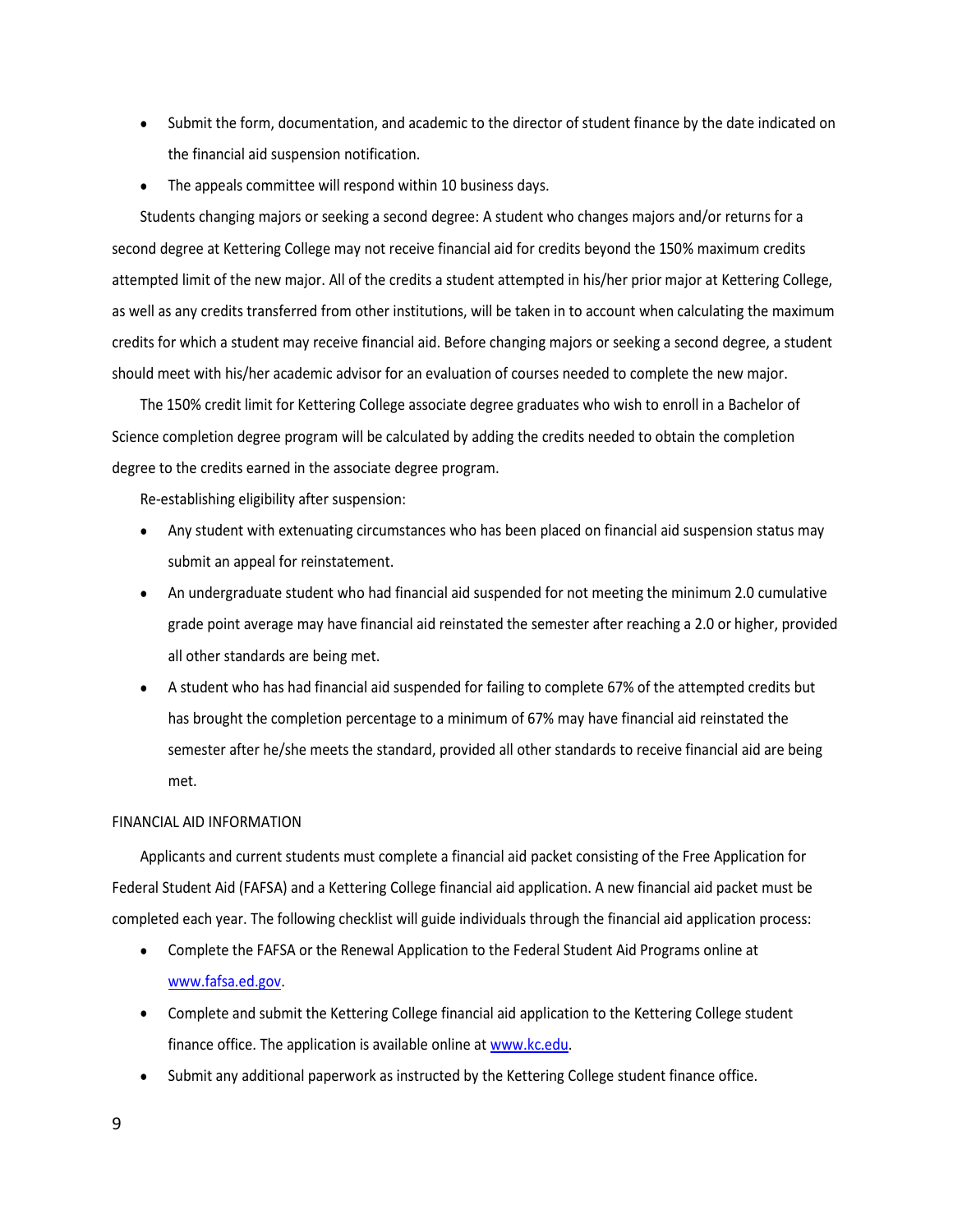- Submit the form, documentation, and academic to the director of student finance by the date indicated on the financial aid suspension notification.
- The appeals committee will respond within 10 business days.

Students changing majors or seeking a second degree: A student who changes majors and/or returns for a second degree at Kettering College may not receive financial aid for credits beyond the 150% maximum credits attempted limit of the new major. All of the credits a student attempted in his/her prior major at Kettering College, as well as any credits transferred from other institutions, will be taken in to account when calculating the maximum credits for which a student may receive financial aid. Before changing majors or seeking a second degree, a student should meet with his/her academic advisor for an evaluation of courses needed to complete the new major.

The 150% credit limit for Kettering College associate degree graduates who wish to enroll in a Bachelor of Science completion degree program will be calculated by adding the credits needed to obtain the completion degree to the credits earned in the associate degree program.

Re-establishing eligibility after suspension:

- Any student with extenuating circumstances who has been placed on financial aid suspension status may submit an appeal for reinstatement.
- An undergraduate student who had financial aid suspended for not meeting the minimum 2.0 cumulative grade point average may have financial aid reinstated the semester after reaching a 2.0 or higher, provided all other standards are being met.
- A student who has had financial aid suspended for failing to complete 67% of the attempted credits but has brought the completion percentage to a minimum of 67% may have financial aid reinstated the semester after he/she meets the standard, provided all other standards to receive financial aid are being met.

#### FINANCIAL AID INFORMATION

Applicants and current students must complete a financial aid packet consisting of the Free Application for Federal Student Aid (FAFSA) and a Kettering College financial aid application. A new financial aid packet must be completed each year. The following checklist will guide individuals through the financial aid application process:

- Complete the FAFSA or the Renewal Application to the Federal Student Aid Programs online at [www.fafsa.ed.gov.](http://www.fafsa.ed.gov/)
- Complete and submit the Kettering College financial aid application to the Kettering College student finance office. The application is available online at [www.kc.edu.](http://www.kc.edu/)
- Submit any additional paperwork as instructed by the Kettering College student finance office.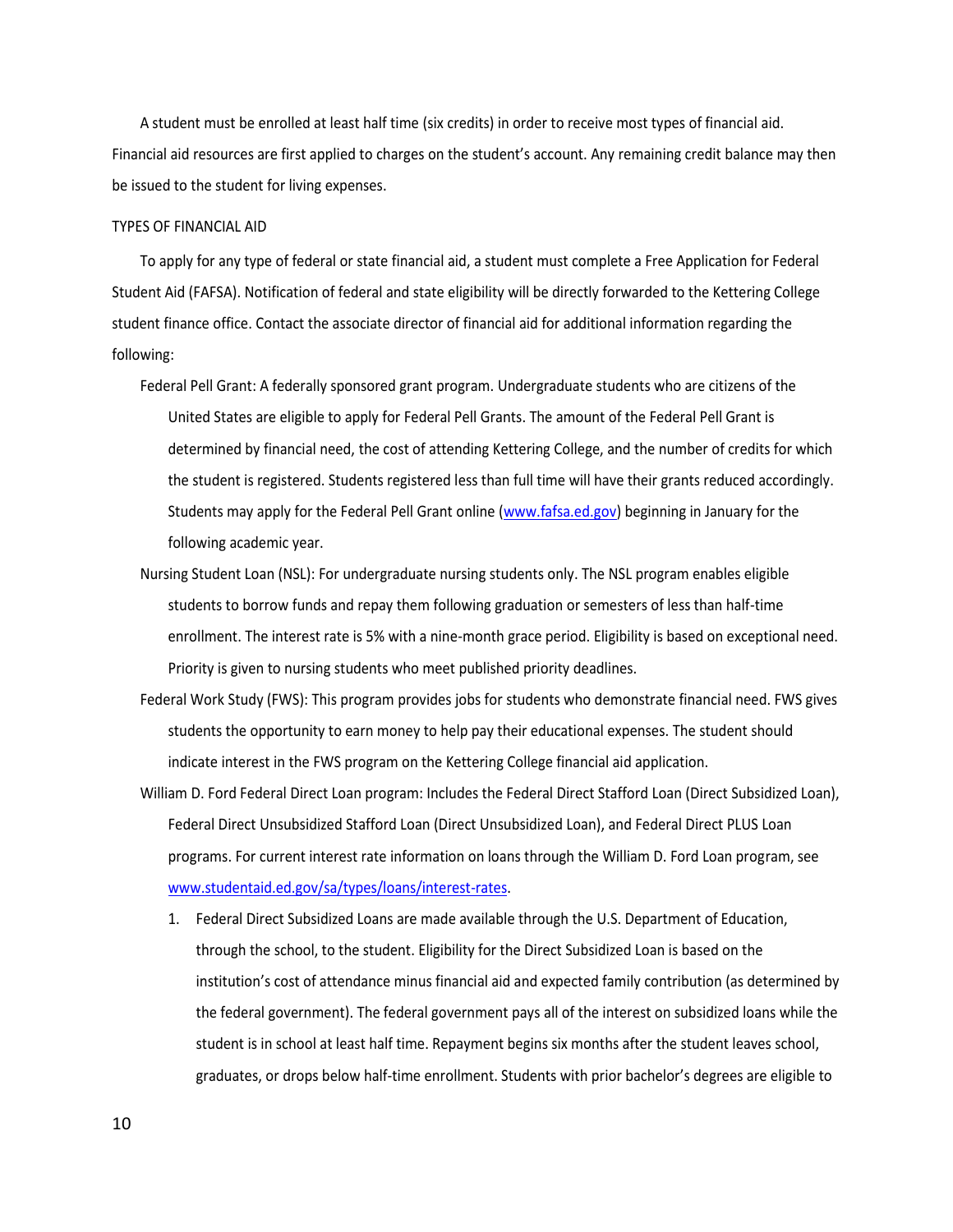A student must be enrolled at least half time (six credits) in order to receive most types of financial aid. Financial aid resources are first applied to charges on the student's account. Any remaining credit balance may then be issued to the student for living expenses.

#### TYPES OF FINANCIAL AID

To apply for any type of federal or state financial aid, a student must complete a Free Application for Federal Student Aid (FAFSA). Notification of federal and state eligibility will be directly forwarded to the Kettering College student finance office. Contact the associate director of financial aid for additional information regarding the following:

- Federal Pell Grant: A federally sponsored grant program. Undergraduate students who are citizens of the United States are eligible to apply for Federal Pell Grants. The amount of the Federal Pell Grant is determined by financial need, the cost of attending Kettering College, and the number of credits for which the student is registered. Students registered less than full time will have their grants reduced accordingly. Students may apply for the Federal Pell Grant online [\(www.fafsa.ed.gov\)](http://www.fafsa.ed.gov/) beginning in January for the following academic year.
- Nursing Student Loan (NSL): For undergraduate nursing students only. The NSL program enables eligible students to borrow funds and repay them following graduation or semesters of less than half-time enrollment. The interest rate is 5% with a nine-month grace period. Eligibility is based on exceptional need. Priority is given to nursing students who meet published priority deadlines.
- Federal Work Study (FWS): This program provides jobs for students who demonstrate financial need. FWS gives students the opportunity to earn money to help pay their educational expenses. The student should indicate interest in the FWS program on the Kettering College financial aid application.
- William D. Ford Federal Direct Loan program: Includes the Federal Direct Stafford Loan (Direct Subsidized Loan), Federal Direct Unsubsidized Stafford Loan (Direct Unsubsidized Loan), and Federal Direct PLUS Loan programs. For current interest rate information on loans through the William D. Ford Loan program, see [www.studentaid.ed.gov/sa/types/loans/interest-rates.](http://www.studentaid.ed.gov/sa/types/loans/interest-rates)
	- 1. Federal Direct Subsidized Loans are made available through the U.S. Department of Education, through the school, to the student. Eligibility for the Direct Subsidized Loan is based on the institution's cost of attendance minus financial aid and expected family contribution (as determined by the federal government). The federal government pays all of the interest on subsidized loans while the student is in school at least half time. Repayment begins six months after the student leaves school, graduates, or drops below half-time enrollment. Students with prior bachelor's degrees are eligible to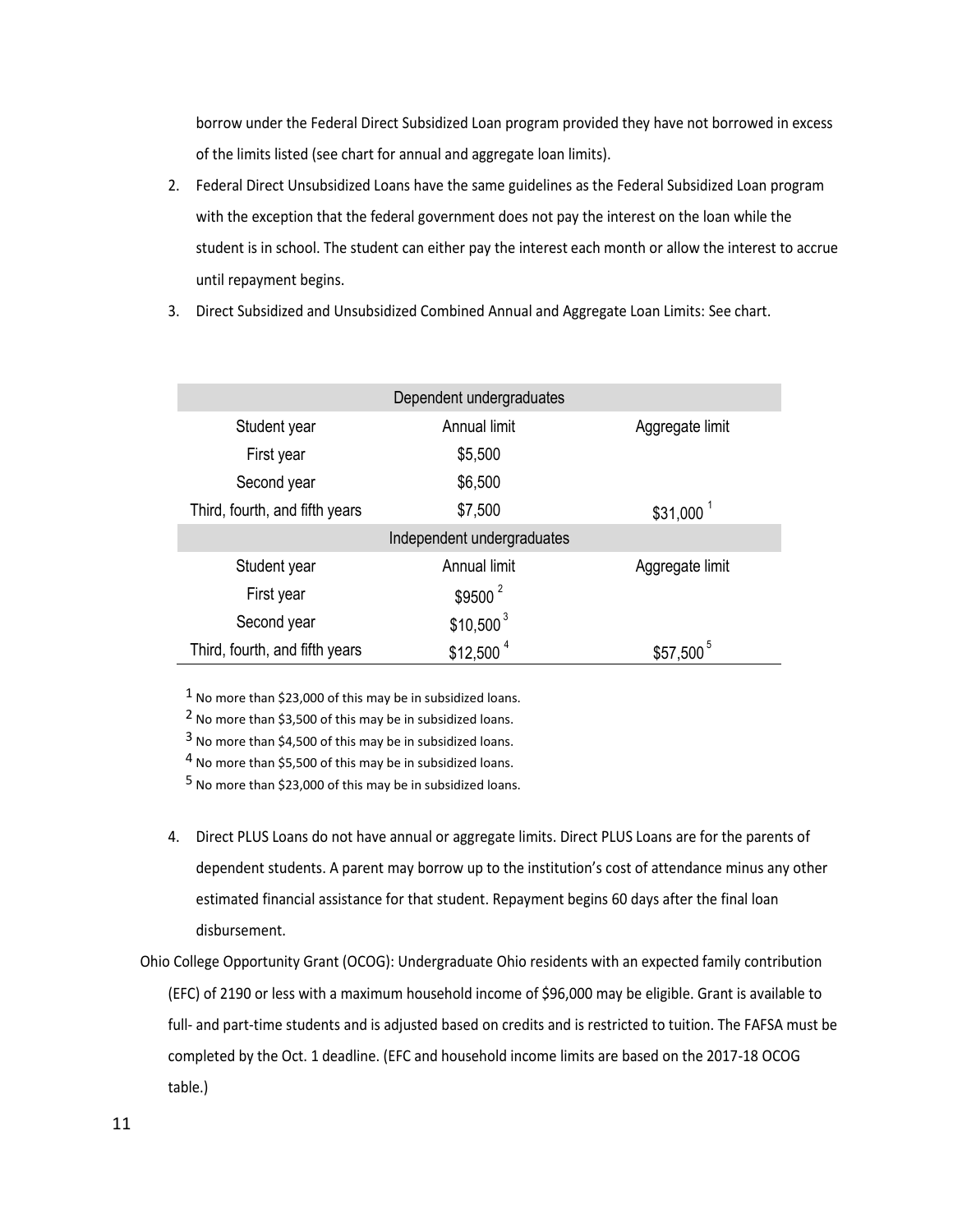borrow under the Federal Direct Subsidized Loan program provided they have not borrowed in excess of the limits listed (see chart for annual and aggregate loan limits).

- 2. Federal Direct Unsubsidized Loans have the same guidelines as the Federal Subsidized Loan program with the exception that the federal government does not pay the interest on the loan while the student is in school. The student can either pay the interest each month or allow the interest to accrue until repayment begins.
- 3. Direct Subsidized and Unsubsidized Combined Annual and Aggregate Loan Limits: See chart.

|                                | Dependent undergraduates   |                        |
|--------------------------------|----------------------------|------------------------|
| Student year                   | Annual limit               | Aggregate limit        |
| First year                     | \$5,500                    |                        |
| Second year                    | \$6,500                    |                        |
| Third, fourth, and fifth years | \$7,500                    | $$31,000$ <sup>1</sup> |
|                                | Independent undergraduates |                        |
| Student year                   | Annual limit               | Aggregate limit        |
| First year                     | $$9500^2$                  |                        |
| Second year                    | $$10,500^3$                |                        |
| Third, fourth, and fifth years | $$12,500$ <sup>4</sup>     | $$57,500^5$            |

1 No more than \$23,000 of this may be in subsidized loans.

2 No more than \$3,500 of this may be in subsidized loans.

3 No more than \$4,500 of this may be in subsidized loans.

4 No more than \$5,500 of this may be in subsidized loans.

5 No more than \$23,000 of this may be in subsidized loans.

- 4. Direct PLUS Loans do not have annual or aggregate limits. Direct PLUS Loans are for the parents of dependent students. A parent may borrow up to the institution's cost of attendance minus any other estimated financial assistance for that student. Repayment begins 60 days after the final loan disbursement.
- Ohio College Opportunity Grant (OCOG): Undergraduate Ohio residents with an expected family contribution (EFC) of 2190 or less with a maximum household income of \$96,000 may be eligible. Grant is available to full- and part-time students and is adjusted based on credits and is restricted to tuition. The FAFSA must be completed by the Oct. 1 deadline. (EFC and household income limits are based on the 2017-18 OCOG table.)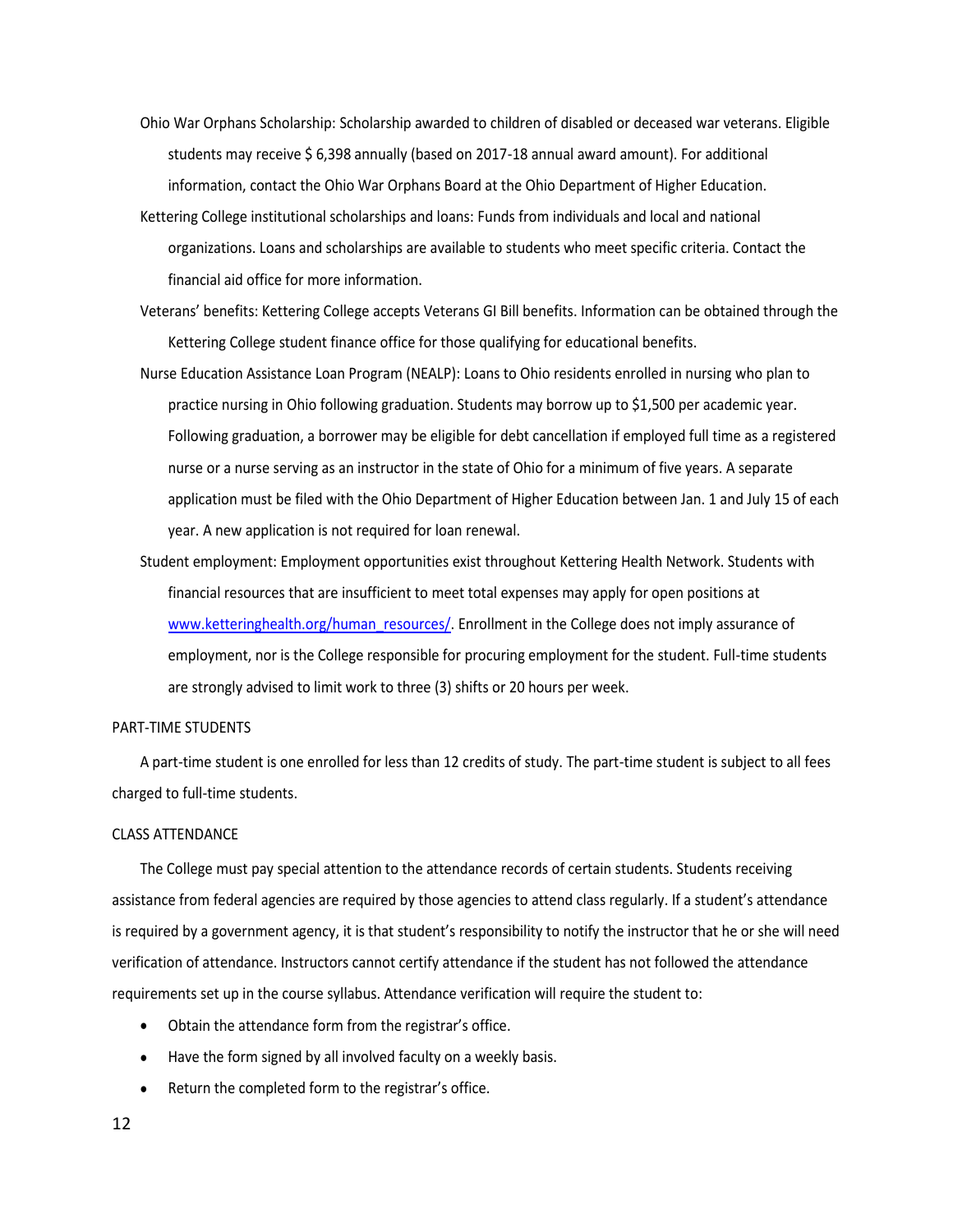- Ohio War Orphans Scholarship: Scholarship awarded to children of disabled or deceased war veterans. Eligible students may receive \$ 6,398 annually (based on 2017-18 annual award amount). For additional information, contact the Ohio War Orphans Board at the Ohio Department of Higher Education.
- Kettering College institutional scholarships and loans: Funds from individuals and local and national organizations. Loans and scholarships are available to students who meet specific criteria. Contact the financial aid office for more information.
- Veterans' benefits: Kettering College accepts Veterans GI Bill benefits. Information can be obtained through the Kettering College student finance office for those qualifying for educational benefits.
- Nurse Education Assistance Loan Program (NEALP): Loans to Ohio residents enrolled in nursing who plan to practice nursing in Ohio following graduation. Students may borrow up to \$1,500 per academic year. Following graduation, a borrower may be eligible for debt cancellation if employed full time as a registered nurse or a nurse serving as an instructor in the state of Ohio for a minimum of five years. A separate application must be filed with the Ohio Department of Higher Education between Jan. 1 and July 15 of each year. A new application is not required for loan renewal.
- Student employment: Employment opportunities exist throughout Kettering Health Network. Students with financial resources that are insufficient to meet total expenses may apply for open positions at [www.ketteringhealth.org/human\\_resources/.](http://www.ketteringhealth.org/human_resources/) Enrollment in the College does not imply assurance of employment, nor is the College responsible for procuring employment for the student. Full-time students are strongly advised to limit work to three (3) shifts or 20 hours per week.

#### PART-TIME STUDENTS

A part-time student is one enrolled for less than 12 credits of study. The part-time student is subject to all fees charged to full-time students.

#### CLASS ATTENDANCE

The College must pay special attention to the attendance records of certain students. Students receiving assistance from federal agencies are required by those agencies to attend class regularly. If a student's attendance is required by a government agency, it is that student's responsibility to notify the instructor that he or she will need verification of attendance. Instructors cannot certify attendance if the student has not followed the attendance requirements set up in the course syllabus. Attendance verification will require the student to:

- Obtain the attendance form from the registrar's office.
- Have the form signed by all involved faculty on a weekly basis.
- Return the completed form to the registrar's office.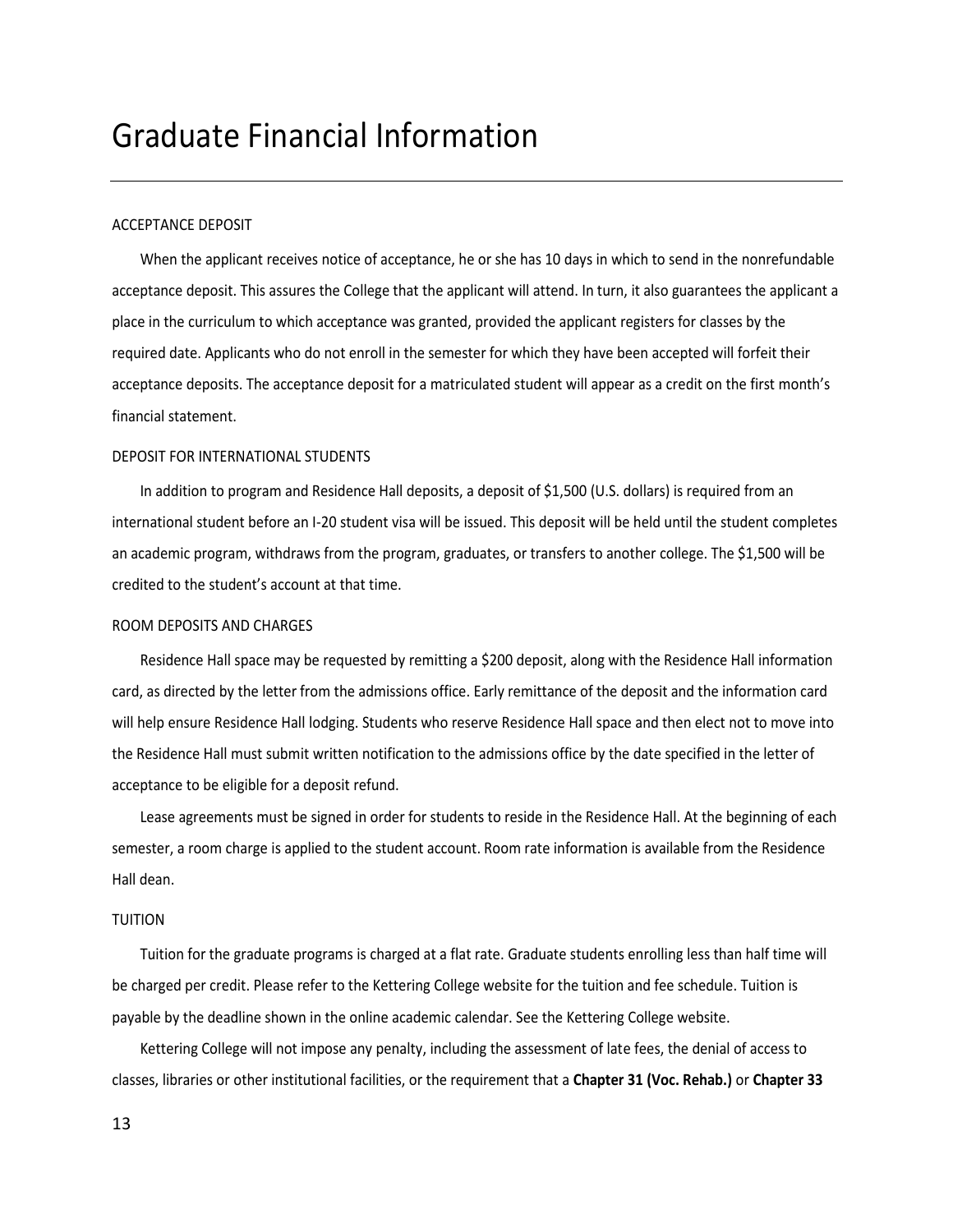### <span id="page-12-0"></span>Graduate Financial Information

#### ACCEPTANCE DEPOSIT

When the applicant receives notice of acceptance, he or she has 10 days in which to send in the nonrefundable acceptance deposit. This assures the College that the applicant will attend. In turn, it also guarantees the applicant a place in the curriculum to which acceptance was granted, provided the applicant registers for classes by the required date. Applicants who do not enroll in the semester for which they have been accepted will forfeit their acceptance deposits. The acceptance deposit for a matriculated student will appear as a credit on the first month's financial statement.

#### DEPOSIT FOR INTERNATIONAL STUDENTS

In addition to program and Residence Hall deposits, a deposit of \$1,500 (U.S. dollars) is required from an international student before an I-20 student visa will be issued. This deposit will be held until the student completes an academic program, withdraws from the program, graduates, or transfers to another college. The \$1,500 will be credited to the student's account at that time.

#### ROOM DEPOSITS AND CHARGES

Residence Hall space may be requested by remitting a \$200 deposit, along with the Residence Hall information card, as directed by the letter from the admissions office. Early remittance of the deposit and the information card will help ensure Residence Hall lodging. Students who reserve Residence Hall space and then elect not to move into the Residence Hall must submit written notification to the admissions office by the date specified in the letter of acceptance to be eligible for a deposit refund.

Lease agreements must be signed in order for students to reside in the Residence Hall. At the beginning of each semester, a room charge is applied to the student account. Room rate information is available from the Residence Hall dean.

#### TUITION

Tuition for the graduate programs is charged at a flat rate. Graduate students enrolling less than half time will be charged per credit. Please refer to the Kettering College website for the tuition and fee schedule. Tuition is payable by the deadline shown in the online academic calendar. See the Kettering College website.

Kettering College will not impose any penalty, including the assessment of late fees, the denial of access to classes, libraries or other institutional facilities, or the requirement that a **Chapter 31 (Voc. Rehab.)** or **Chapter 33** 

13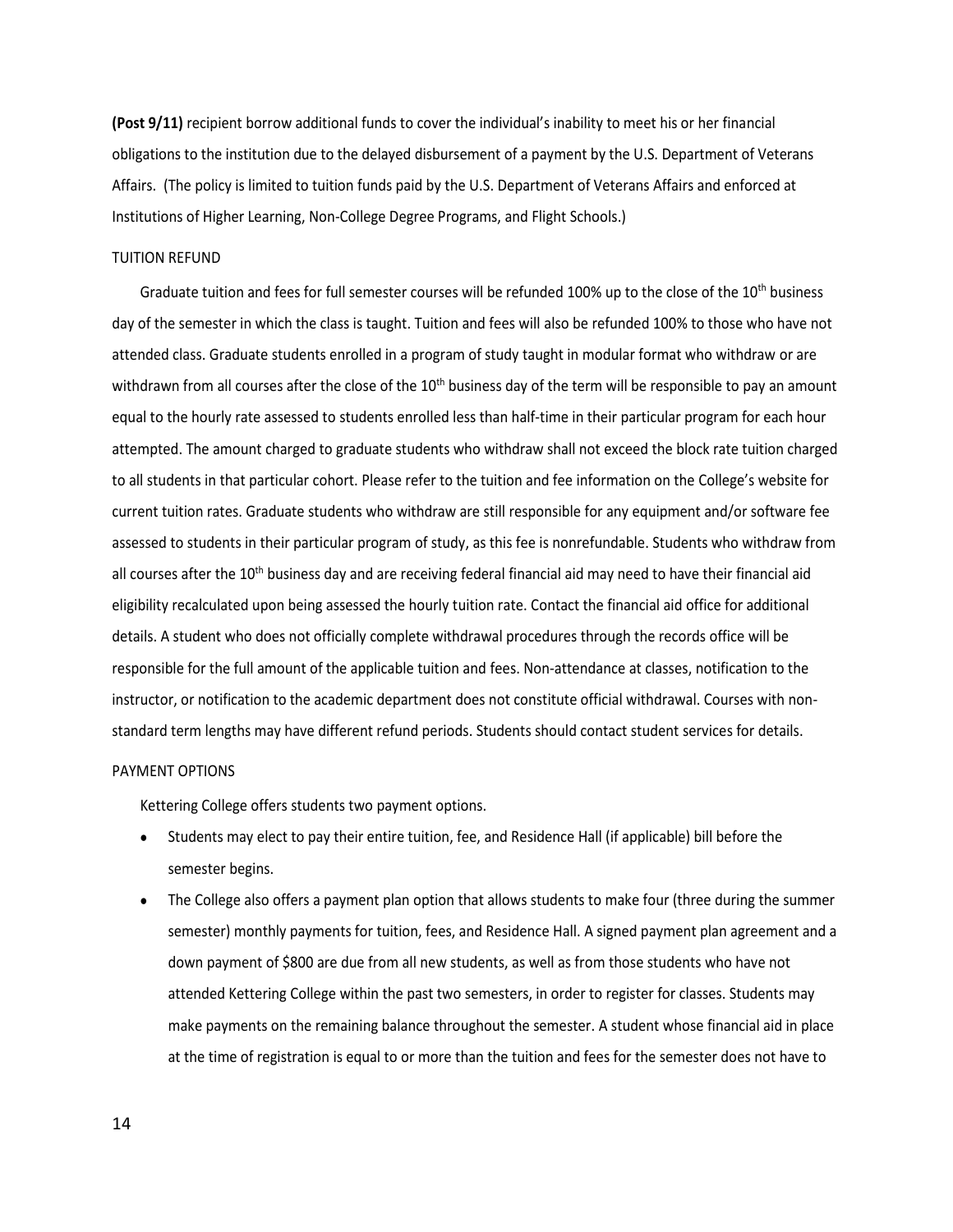**(Post 9/11)** recipient borrow additional funds to cover the individual's inability to meet his or her financial obligations to the institution due to the delayed disbursement of a payment by the U.S. Department of Veterans Affairs. (The policy is limited to tuition funds paid by the U.S. Department of Veterans Affairs and enforced at Institutions of Higher Learning, Non-College Degree Programs, and Flight Schools.)

#### TUITION REFUND

Graduate tuition and fees for full semester courses will be refunded 100% up to the close of the 10<sup>th</sup> business day of the semester in which the class is taught. Tuition and fees will also be refunded 100% to those who have not attended class. Graduate students enrolled in a program of study taught in modular format who withdraw or are withdrawn from all courses after the close of the 10<sup>th</sup> business day of the term will be responsible to pay an amount equal to the hourly rate assessed to students enrolled less than half-time in their particular program for each hour attempted. The amount charged to graduate students who withdraw shall not exceed the block rate tuition charged to all students in that particular cohort. Please refer to the tuition and fee information on the College's website for current tuition rates. Graduate students who withdraw are still responsible for any equipment and/or software fee assessed to students in their particular program of study, as this fee is nonrefundable. Students who withdraw from all courses after the  $10<sup>th</sup>$  business day and are receiving federal financial aid may need to have their financial aid eligibility recalculated upon being assessed the hourly tuition rate. Contact the financial aid office for additional details. A student who does not officially complete withdrawal procedures through the records office will be responsible for the full amount of the applicable tuition and fees. Non-attendance at classes, notification to the instructor, or notification to the academic department does not constitute official withdrawal. Courses with nonstandard term lengths may have different refund periods. Students should contact student services for details.

#### PAYMENT OPTIONS

Kettering College offers students two payment options.

- Students may elect to pay their entire tuition, fee, and Residence Hall (if applicable) bill before the semester begins.
- The College also offers a payment plan option that allows students to make four (three during the summer semester) monthly payments for tuition, fees, and Residence Hall. A signed payment plan agreement and a down payment of \$800 are due from all new students, as well as from those students who have not attended Kettering College within the past two semesters, in order to register for classes. Students may make payments on the remaining balance throughout the semester. A student whose financial aid in place at the time of registration is equal to or more than the tuition and fees for the semester does not have to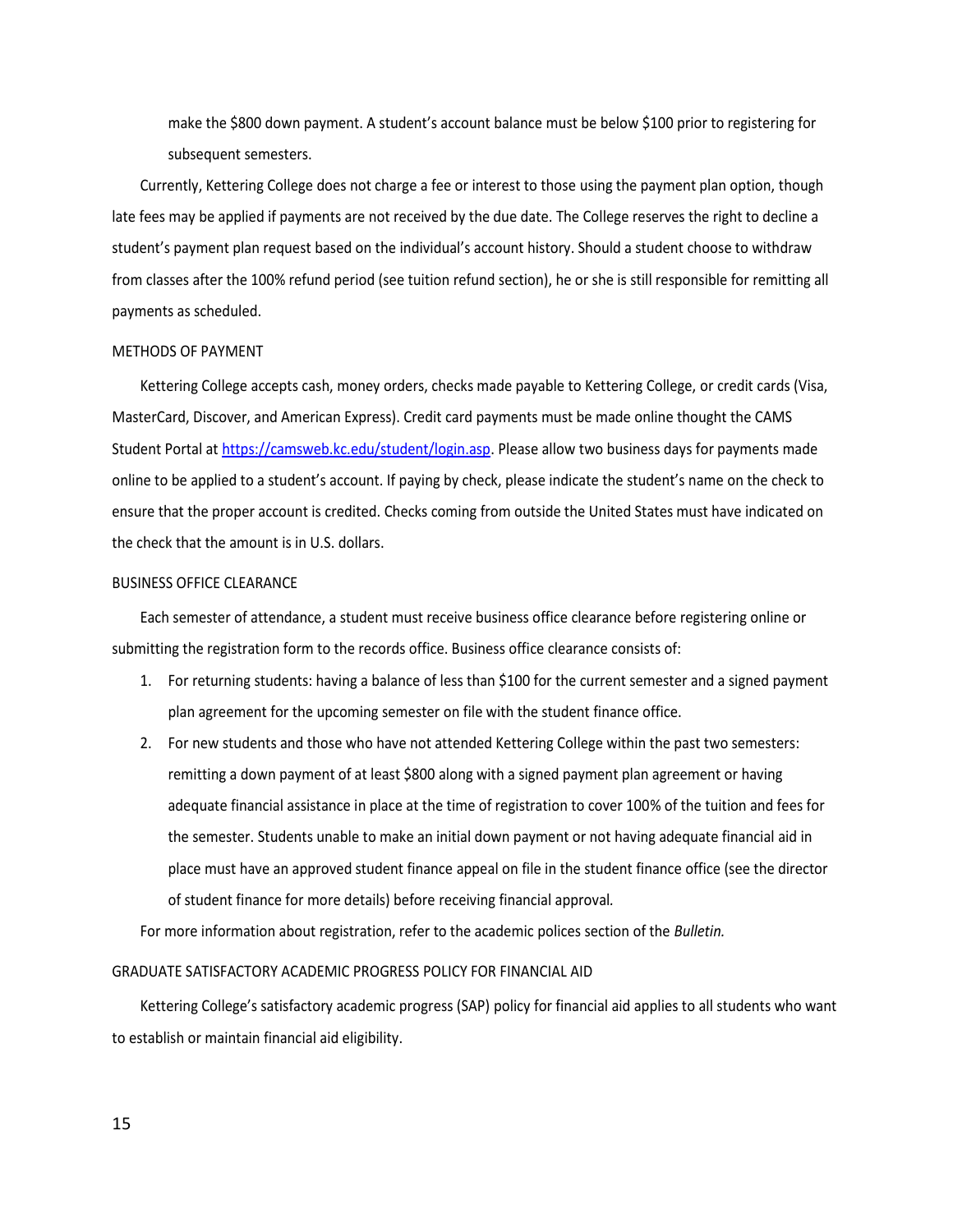make the \$800 down payment. A student's account balance must be below \$100 prior to registering for subsequent semesters.

Currently, Kettering College does not charge a fee or interest to those using the payment plan option, though late fees may be applied if payments are not received by the due date. The College reserves the right to decline a student's payment plan request based on the individual's account history. Should a student choose to withdraw from classes after the 100% refund period (see tuition refund section), he or she is still responsible for remitting all payments as scheduled.

#### METHODS OF PAYMENT

Kettering College accepts cash, money orders, checks made payable to Kettering College, or credit cards (Visa, MasterCard, Discover, and American Express). Credit card payments must be made online thought the CAMS Student Portal a[t https://camsweb.kc.edu/student/login.asp.](https://camsweb.kc.edu/student/login.asp) Please allow two business days for payments made online to be applied to a student's account. If paying by check, please indicate the student's name on the check to ensure that the proper account is credited. Checks coming from outside the United States must have indicated on the check that the amount is in U.S. dollars.

#### BUSINESS OFFICE CLEARANCE

Each semester of attendance, a student must receive business office clearance before registering online or submitting the registration form to the records office. Business office clearance consists of:

- 1. For returning students: having a balance of less than \$100 for the current semester and a signed payment plan agreement for the upcoming semester on file with the student finance office.
- 2. For new students and those who have not attended Kettering College within the past two semesters: remitting a down payment of at least \$800 along with a signed payment plan agreement or having adequate financial assistance in place at the time of registration to cover 100% of the tuition and fees for the semester. Students unable to make an initial down payment or not having adequate financial aid in place must have an approved student finance appeal on file in the student finance office (see the director of student finance for more details) before receiving financial approval*.*

For more information about registration, refer to the academic polices section of the *Bulletin.*

#### GRADUATE SATISFACTORY ACADEMIC PROGRESS POLICY FOR FINANCIAL AID

Kettering College's satisfactory academic progress (SAP) policy for financial aid applies to all students who want to establish or maintain financial aid eligibility.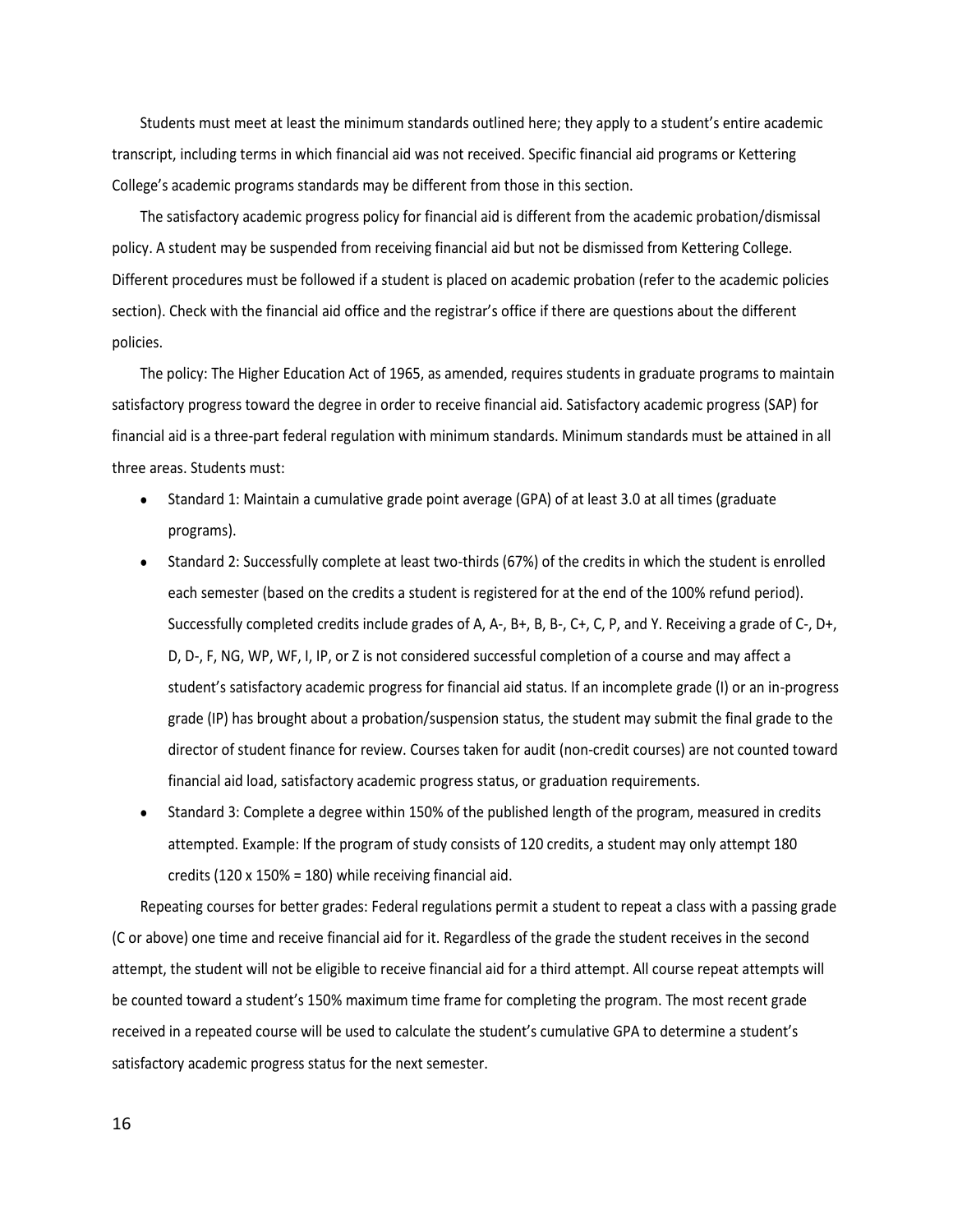Students must meet at least the minimum standards outlined here; they apply to a student's entire academic transcript, including terms in which financial aid was not received. Specific financial aid programs or Kettering College's academic programs standards may be different from those in this section.

The satisfactory academic progress policy for financial aid is different from the academic probation/dismissal policy. A student may be suspended from receiving financial aid but not be dismissed from Kettering College. Different procedures must be followed if a student is placed on academic probation (refer to the academic policies section). Check with the financial aid office and the registrar's office if there are questions about the different policies.

The policy: The Higher Education Act of 1965, as amended, requires students in graduate programs to maintain satisfactory progress toward the degree in order to receive financial aid. Satisfactory academic progress (SAP) for financial aid is a three-part federal regulation with minimum standards. Minimum standards must be attained in all three areas. Students must:

- Standard 1: Maintain a cumulative grade point average (GPA) of at least 3.0 at all times (graduate programs).
- Standard 2: Successfully complete at least two-thirds (67%) of the credits in which the student is enrolled each semester (based on the credits a student is registered for at the end of the 100% refund period). Successfully completed credits include grades of A, A-, B+, B, B-, C+, C, P, and Y. Receiving a grade of C-, D+, D, D-, F, NG, WP, WF, I, IP, or Z is not considered successful completion of a course and may affect a student's satisfactory academic progress for financial aid status. If an incomplete grade (I) or an in-progress grade (IP) has brought about a probation/suspension status, the student may submit the final grade to the director of student finance for review. Courses taken for audit (non-credit courses) are not counted toward financial aid load, satisfactory academic progress status, or graduation requirements.
- Standard 3: Complete a degree within 150% of the published length of the program, measured in credits attempted. Example: If the program of study consists of 120 credits, a student may only attempt 180 credits (120 x 150% = 180) while receiving financial aid.

Repeating courses for better grades: Federal regulations permit a student to repeat a class with a passing grade (C or above) one time and receive financial aid for it. Regardless of the grade the student receives in the second attempt, the student will not be eligible to receive financial aid for a third attempt. All course repeat attempts will be counted toward a student's 150% maximum time frame for completing the program. The most recent grade received in a repeated course will be used to calculate the student's cumulative GPA to determine a student's satisfactory academic progress status for the next semester.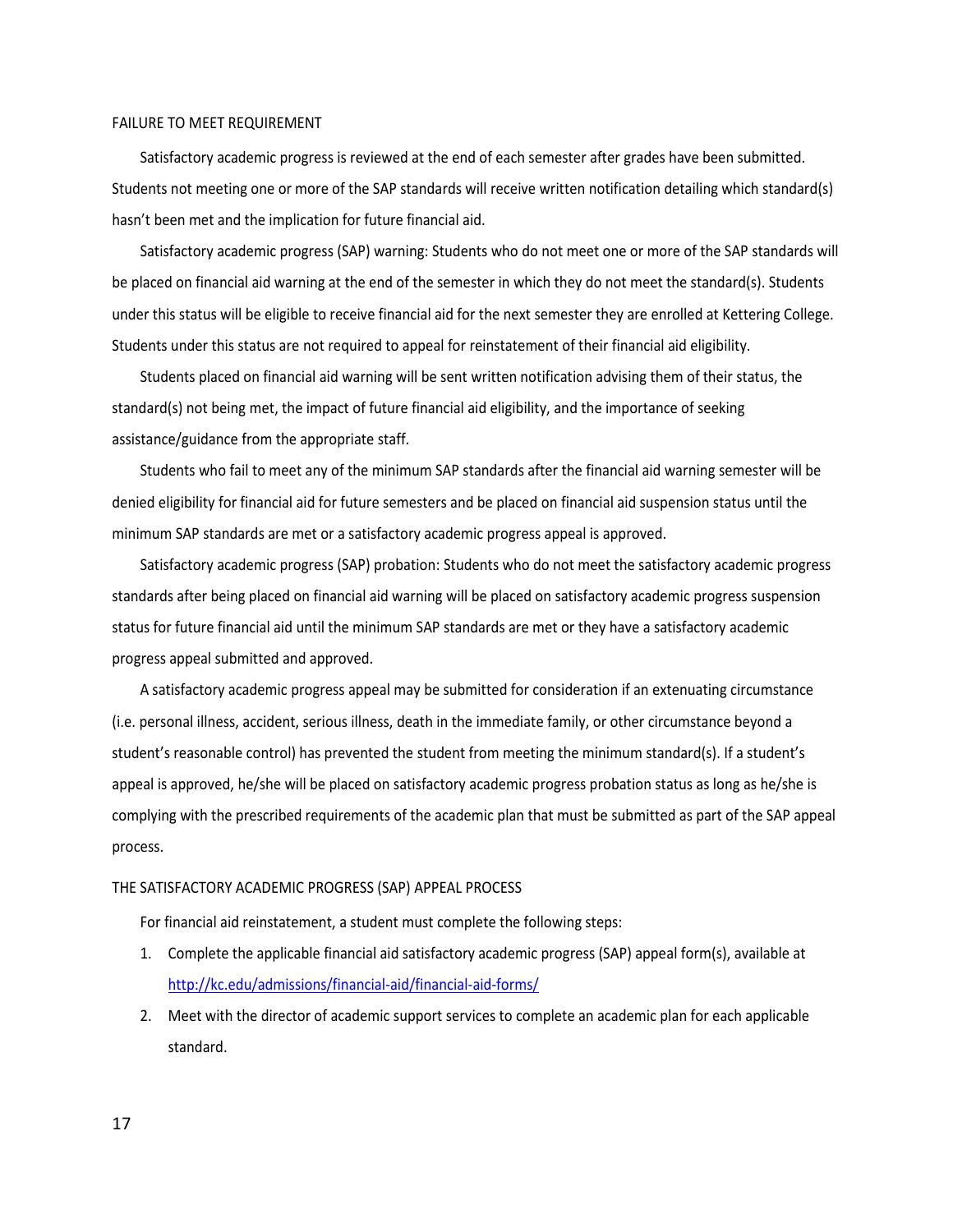#### FAILURE TO MEET REQUIREMENT

Satisfactory academic progress is reviewed at the end of each semester after grades have been submitted. Students not meeting one or more of the SAP standards will receive written notification detailing which standard(s) hasn't been met and the implication for future financial aid.

Satisfactory academic progress (SAP) warning: Students who do not meet one or more of the SAP standards will be placed on financial aid warning at the end of the semester in which they do not meet the standard(s). Students under this status will be eligible to receive financial aid for the next semester they are enrolled at Kettering College. Students under this status are not required to appeal for reinstatement of their financial aid eligibility.

Students placed on financial aid warning will be sent written notification advising them of their status, the standard(s) not being met, the impact of future financial aid eligibility, and the importance of seeking assistance/guidance from the appropriate staff.

Students who fail to meet any of the minimum SAP standards after the financial aid warning semester will be denied eligibility for financial aid for future semesters and be placed on financial aid suspension status until the minimum SAP standards are met or a satisfactory academic progress appeal is approved.

Satisfactory academic progress (SAP) probation: Students who do not meet the satisfactory academic progress standards after being placed on financial aid warning will be placed on satisfactory academic progress suspension status for future financial aid until the minimum SAP standards are met or they have a satisfactory academic progress appeal submitted and approved.

A satisfactory academic progress appeal may be submitted for consideration if an extenuating circumstance (i.e. personal illness, accident, serious illness, death in the immediate family, or other circumstance beyond a student's reasonable control) has prevented the student from meeting the minimum standard(s). If a student's appeal is approved, he/she will be placed on satisfactory academic progress probation status as long as he/she is complying with the prescribed requirements of the academic plan that must be submitted as part of the SAP appeal process.

#### THE SATISFACTORY ACADEMIC PROGRESS (SAP) APPEAL PROCESS

For financial aid reinstatement, a student must complete the following steps:

- 1. Complete the applicable financial aid satisfactory academic progress (SAP) appeal form(s), available at <http://kc.edu/admissions/financial-aid/financial-aid-forms/>
- 2. Meet with the director of academic support services to complete an academic plan for each applicable standard.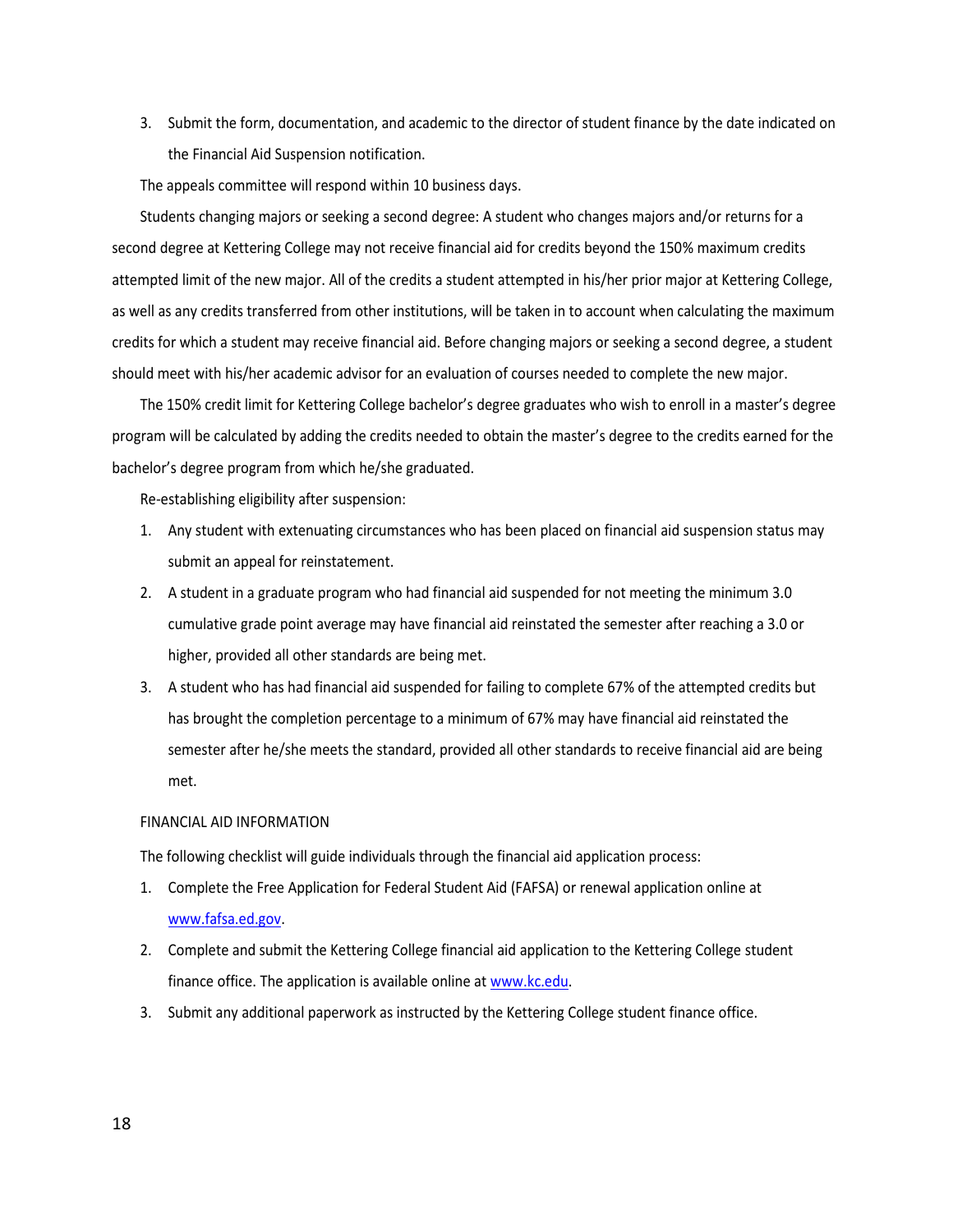3. Submit the form, documentation, and academic to the director of student finance by the date indicated on the Financial Aid Suspension notification.

The appeals committee will respond within 10 business days.

Students changing majors or seeking a second degree: A student who changes majors and/or returns for a second degree at Kettering College may not receive financial aid for credits beyond the 150% maximum credits attempted limit of the new major. All of the credits a student attempted in his/her prior major at Kettering College, as well as any credits transferred from other institutions, will be taken in to account when calculating the maximum credits for which a student may receive financial aid. Before changing majors or seeking a second degree, a student should meet with his/her academic advisor for an evaluation of courses needed to complete the new major.

The 150% credit limit for Kettering College bachelor's degree graduates who wish to enroll in a master's degree program will be calculated by adding the credits needed to obtain the master's degree to the credits earned for the bachelor's degree program from which he/she graduated.

Re-establishing eligibility after suspension:

- 1. Any student with extenuating circumstances who has been placed on financial aid suspension status may submit an appeal for reinstatement.
- 2. A student in a graduate program who had financial aid suspended for not meeting the minimum 3.0 cumulative grade point average may have financial aid reinstated the semester after reaching a 3.0 or higher, provided all other standards are being met.
- 3. A student who has had financial aid suspended for failing to complete 67% of the attempted credits but has brought the completion percentage to a minimum of 67% may have financial aid reinstated the semester after he/she meets the standard, provided all other standards to receive financial aid are being met.

#### FINANCIAL AID INFORMATION

The following checklist will guide individuals through the financial aid application process:

- 1. Complete the Free Application for Federal Student Aid (FAFSA) or renewal application online at [www.fafsa.ed.gov.](http://www.fafsa.ed.gov/)
- 2. Complete and submit the Kettering College financial aid application to the Kettering College student finance office. The application is available online at [www.kc.edu.](http://www.kc.edu/)
- 3. Submit any additional paperwork as instructed by the Kettering College student finance office.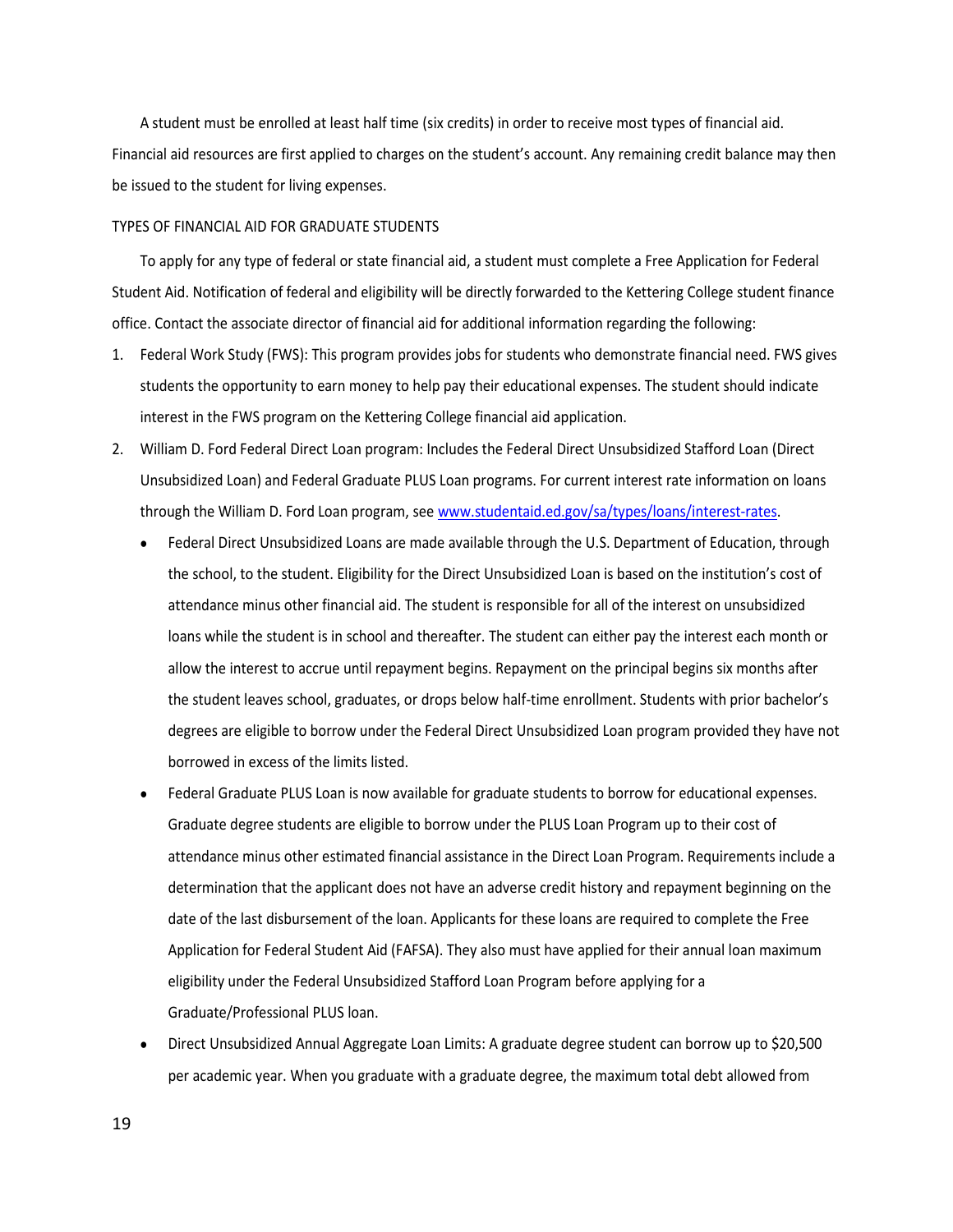A student must be enrolled at least half time (six credits) in order to receive most types of financial aid. Financial aid resources are first applied to charges on the student's account. Any remaining credit balance may then be issued to the student for living expenses.

#### TYPES OF FINANCIAL AID FOR GRADUATE STUDENTS

To apply for any type of federal or state financial aid, a student must complete a Free Application for Federal Student Aid. Notification of federal and eligibility will be directly forwarded to the Kettering College student finance office. Contact the associate director of financial aid for additional information regarding the following:

- 1. Federal Work Study (FWS): This program provides jobs for students who demonstrate financial need. FWS gives students the opportunity to earn money to help pay their educational expenses. The student should indicate interest in the FWS program on the Kettering College financial aid application.
- 2. William D. Ford Federal Direct Loan program: Includes the Federal Direct Unsubsidized Stafford Loan (Direct Unsubsidized Loan) and Federal Graduate PLUS Loan programs. For current interest rate information on loans through the William D. Ford Loan program, se[e www.studentaid.ed.gov/sa/types/loans/interest-rates.](http://www.studentaid.ed.gov/sa/types/loans/interest-rates)
	- Federal Direct Unsubsidized Loans are made available through the U.S. Department of Education, through the school, to the student. Eligibility for the Direct Unsubsidized Loan is based on the institution's cost of attendance minus other financial aid. The student is responsible for all of the interest on unsubsidized loans while the student is in school and thereafter. The student can either pay the interest each month or allow the interest to accrue until repayment begins. Repayment on the principal begins six months after the student leaves school, graduates, or drops below half-time enrollment. Students with prior bachelor's degrees are eligible to borrow under the Federal Direct Unsubsidized Loan program provided they have not borrowed in excess of the limits listed.
	- Federal Graduate PLUS Loan is now available for graduate students to borrow for educational expenses. Graduate degree students are eligible to borrow under the PLUS Loan Program up to their cost of attendance minus other estimated financial assistance in the Direct Loan Program. Requirements include a determination that the applicant does not have an adverse credit history and repayment beginning on the date of the last disbursement of the loan. Applicants for these loans are required to complete the Free Application for Federal Student Aid (FAFSA). They also must have applied for their annual loan maximum eligibility under the Federal Unsubsidized Stafford Loan Program before applying for a Graduate/Professional PLUS loan.
	- Direct Unsubsidized Annual Aggregate Loan Limits: A graduate degree student can borrow up to \$20,500 per academic year. When you graduate with a graduate degree, the maximum total debt allowed from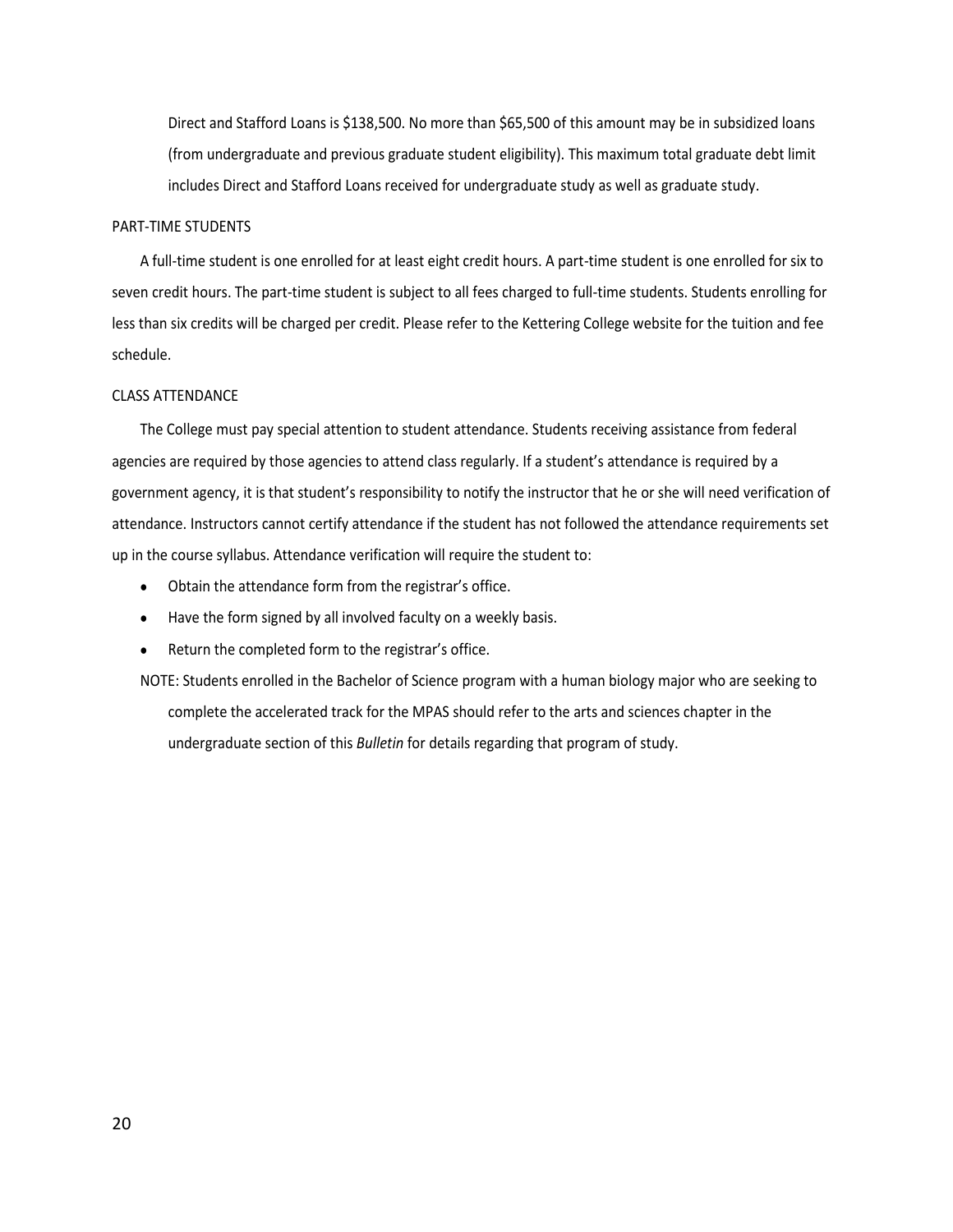Direct and Stafford Loans is \$138,500. No more than \$65,500 of this amount may be in subsidized loans (from undergraduate and previous graduate student eligibility). This maximum total graduate debt limit includes Direct and Stafford Loans received for undergraduate study as well as graduate study.

#### PART-TIME STUDENTS

A full-time student is one enrolled for at least eight credit hours. A part-time student is one enrolled for six to seven credit hours. The part-time student is subject to all fees charged to full-time students. Students enrolling for less than six credits will be charged per credit. Please refer to the Kettering College website for the tuition and fee schedule.

#### CLASS ATTENDANCE

The College must pay special attention to student attendance. Students receiving assistance from federal agencies are required by those agencies to attend class regularly. If a student's attendance is required by a government agency, it is that student's responsibility to notify the instructor that he or she will need verification of attendance. Instructors cannot certify attendance if the student has not followed the attendance requirements set up in the course syllabus. Attendance verification will require the student to:

- Obtain the attendance form from the registrar's office.
- Have the form signed by all involved faculty on a weekly basis.
- Return the completed form to the registrar's office.

NOTE: Students enrolled in the Bachelor of Science program with a human biology major who are seeking to complete the accelerated track for the MPAS should refer to the arts and sciences chapter in the undergraduate section of this *Bulletin* for details regarding that program of study.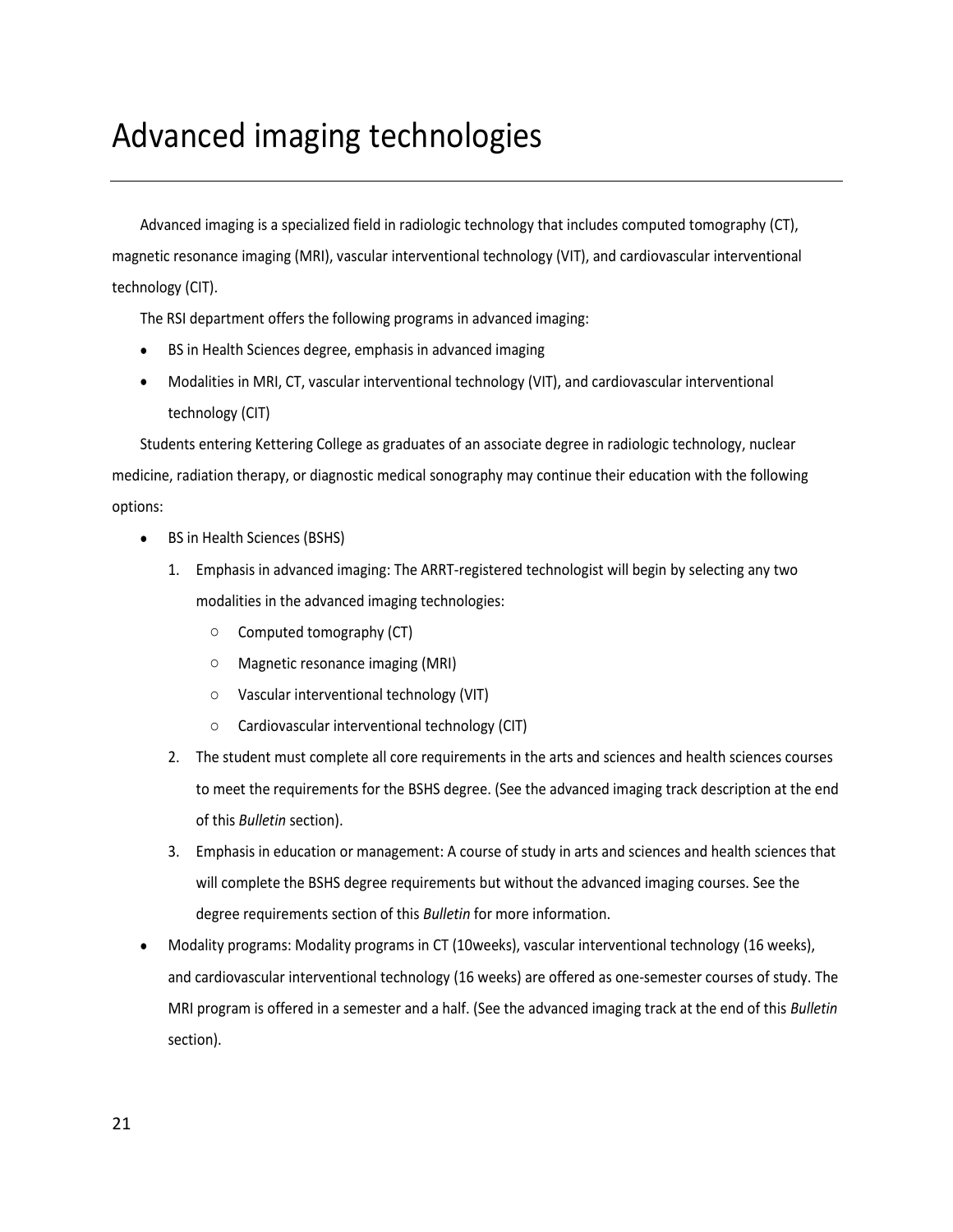# <span id="page-20-0"></span>Advanced imaging technologies

Advanced imaging is a specialized field in radiologic technology that includes computed tomography (CT), magnetic resonance imaging (MRI), vascular interventional technology (VIT), and cardiovascular interventional technology (CIT).

The RSI department offers the following programs in advanced imaging:

- BS in Health Sciences degree, emphasis in advanced imaging
- Modalities in MRI, CT, vascular interventional technology (VIT), and cardiovascular interventional technology (CIT)

Students entering Kettering College as graduates of an associate degree in radiologic technology, nuclear medicine, radiation therapy, or diagnostic medical sonography may continue their education with the following options:

- BS in Health Sciences (BSHS)
	- 1. Emphasis in advanced imaging: The ARRT-registered technologist will begin by selecting any two modalities in the advanced imaging technologies:
		- o Computed tomography (CT)
		- o Magnetic resonance imaging (MRI)
		- o Vascular interventional technology (VIT)
		- o Cardiovascular interventional technology (CIT)
	- 2. The student must complete all core requirements in the arts and sciences and health sciences courses to meet the requirements for the BSHS degree. (See the advanced imaging track description at the end of this *Bulletin* section).
	- 3. Emphasis in education or management: A course of study in arts and sciences and health sciences that will complete the BSHS degree requirements but without the advanced imaging courses. See the degree requirements section of this *Bulletin* for more information.
- Modality programs: Modality programs in CT (10weeks), vascular interventional technology (16 weeks), and cardiovascular interventional technology (16 weeks) are offered as one-semester courses of study. The MRI program is offered in a semester and a half. (See the advanced imaging track at the end of this *Bulletin*  section).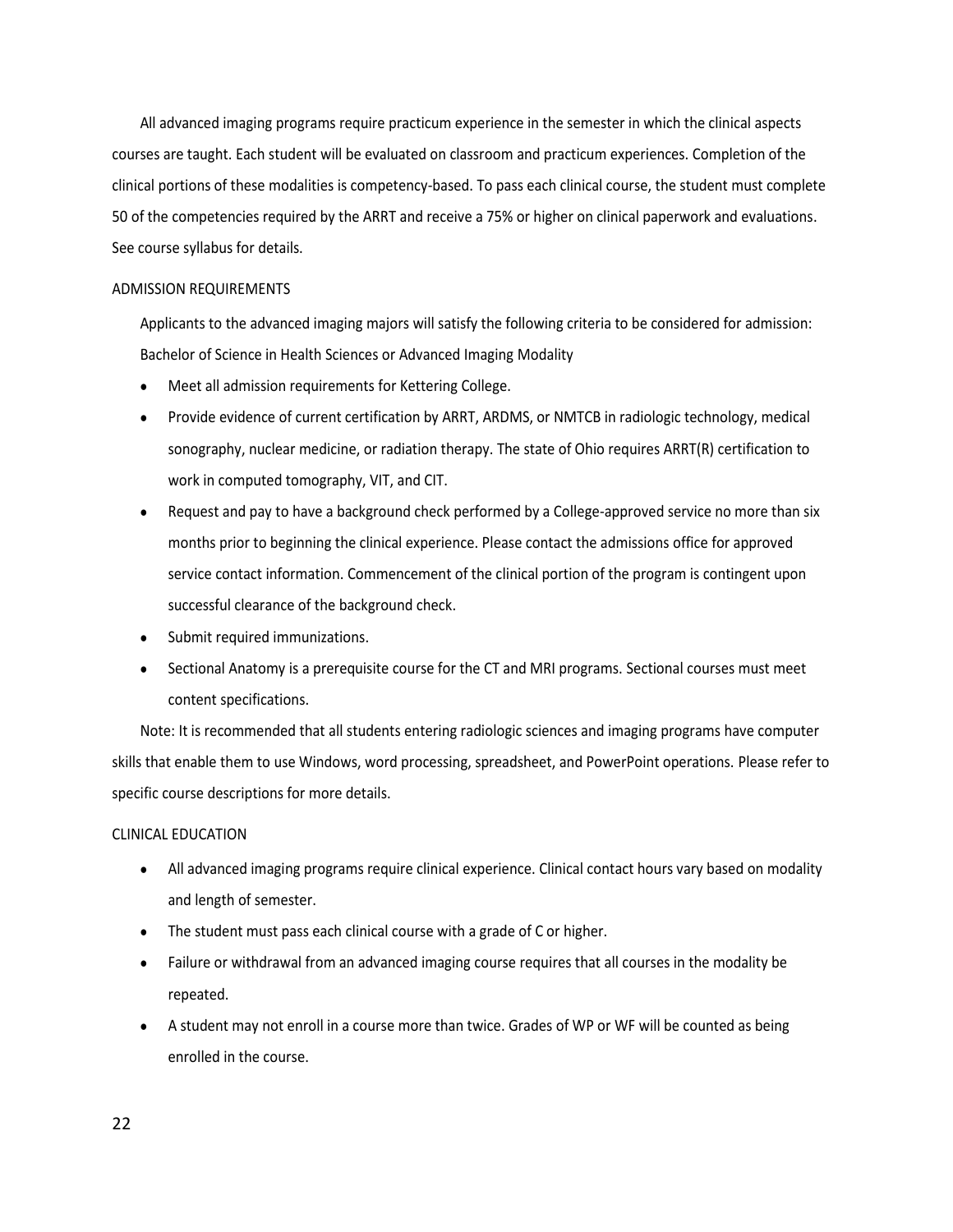All advanced imaging programs require practicum experience in the semester in which the clinical aspects courses are taught. Each student will be evaluated on classroom and practicum experiences. Completion of the clinical portions of these modalities is competency-based. To pass each clinical course, the student must complete 50 of the competencies required by the ARRT and receive a 75% or higher on clinical paperwork and evaluations. See course syllabus for details.

#### ADMISSION REQUIREMENTS

Applicants to the advanced imaging majors will satisfy the following criteria to be considered for admission: Bachelor of Science in Health Sciences or Advanced Imaging Modality

- Meet all admission requirements for Kettering College.
- Provide evidence of current certification by ARRT, ARDMS, or NMTCB in radiologic technology, medical sonography, nuclear medicine, or radiation therapy. The state of Ohio requires ARRT(R) certification to work in computed tomography, VIT, and CIT.
- Request and pay to have a background check performed by a College-approved service no more than six months prior to beginning the clinical experience. Please contact the admissions office for approved service contact information. Commencement of the clinical portion of the program is contingent upon successful clearance of the background check.
- Submit required immunizations.
- Sectional Anatomy is a prerequisite course for the CT and MRI programs. Sectional courses must meet content specifications.

Note: It is recommended that all students entering radiologic sciences and imaging programs have computer skills that enable them to use Windows, word processing, spreadsheet, and PowerPoint operations. Please refer to specific course descriptions for more details.

#### CLINICAL EDUCATION

- All advanced imaging programs require clinical experience. Clinical contact hours vary based on modality and length of semester.
- The student must pass each clinical course with a grade of C or higher.
- Failure or withdrawal from an advanced imaging course requires that all courses in the modality be repeated.
- A student may not enroll in a course more than twice. Grades of WP or WF will be counted as being enrolled in the course.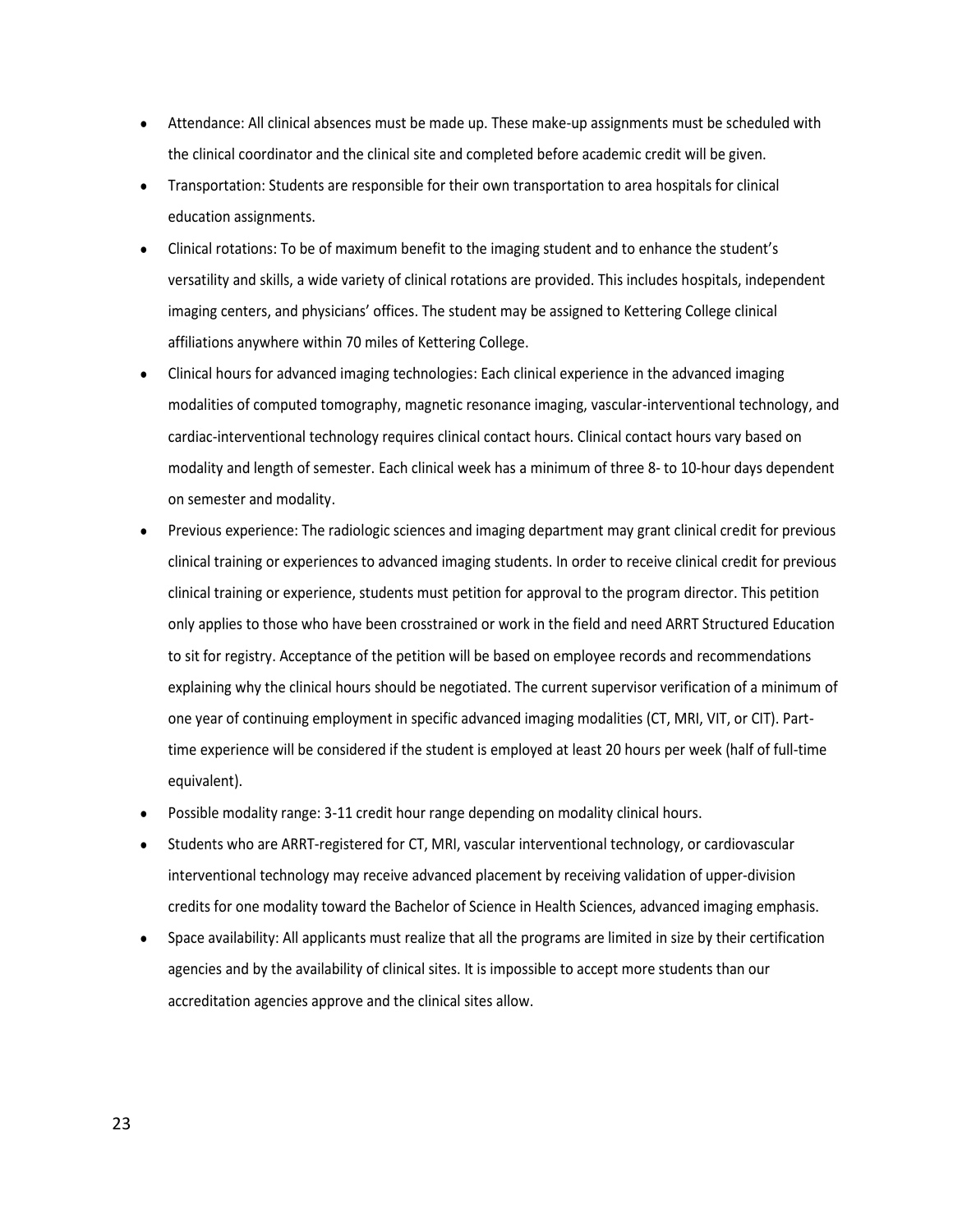- Attendance: All clinical absences must be made up. These make-up assignments must be scheduled with the clinical coordinator and the clinical site and completed before academic credit will be given.
- Transportation: Students are responsible for their own transportation to area hospitals for clinical education assignments.
- Clinical rotations: To be of maximum benefit to the imaging student and to enhance the student's versatility and skills, a wide variety of clinical rotations are provided. This includes hospitals, independent imaging centers, and physicians' offices. The student may be assigned to Kettering College clinical affiliations anywhere within 70 miles of Kettering College.
- Clinical hours for advanced imaging technologies: Each clinical experience in the advanced imaging modalities of computed tomography, magnetic resonance imaging, vascular-interventional technology, and cardiac-interventional technology requires clinical contact hours. Clinical contact hours vary based on modality and length of semester. Each clinical week has a minimum of three 8- to 10-hour days dependent on semester and modality.
- Previous experience: The radiologic sciences and imaging department may grant clinical credit for previous clinical training or experiences to advanced imaging students. In order to receive clinical credit for previous clinical training or experience, students must petition for approval to the program director. This petition only applies to those who have been crosstrained or work in the field and need ARRT Structured Education to sit for registry. Acceptance of the petition will be based on employee records and recommendations explaining why the clinical hours should be negotiated. The current supervisor verification of a minimum of one year of continuing employment in specific advanced imaging modalities (CT, MRI, VIT, or CIT). Parttime experience will be considered if the student is employed at least 20 hours per week (half of full-time equivalent).
- Possible modality range: 3-11 credit hour range depending on modality clinical hours.
- Students who are ARRT-registered for CT, MRI, vascular interventional technology, or cardiovascular interventional technology may receive advanced placement by receiving validation of upper-division credits for one modality toward the Bachelor of Science in Health Sciences, advanced imaging emphasis.
- Space availability: All applicants must realize that all the programs are limited in size by their certification agencies and by the availability of clinical sites. It is impossible to accept more students than our accreditation agencies approve and the clinical sites allow.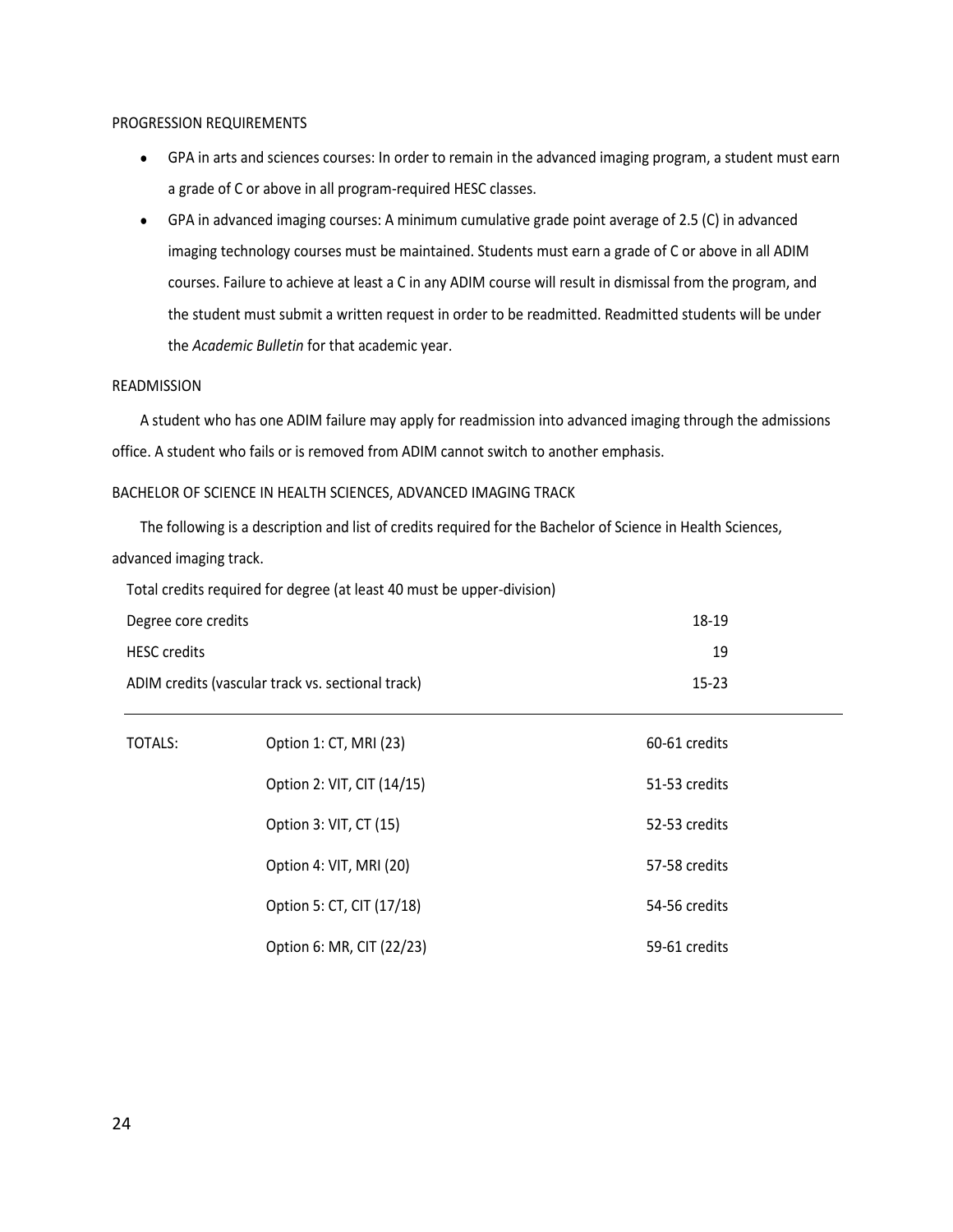#### PROGRESSION REQUIREMENTS

- GPA in arts and sciences courses: In order to remain in the advanced imaging program, a student must earn a grade of C or above in all program-required HESC classes.
- GPA in advanced imaging courses: A minimum cumulative grade point average of 2.5 (C) in advanced imaging technology courses must be maintained. Students must earn a grade of C or above in all ADIM courses. Failure to achieve at least a C in any ADIM course will result in dismissal from the program, and the student must submit a written request in order to be readmitted. Readmitted students will be under the *Academic Bulletin* for that academic year.

#### READMISSION

A student who has one ADIM failure may apply for readmission into advanced imaging through the admissions office. A student who fails or is removed from ADIM cannot switch to another emphasis.

#### BACHELOR OF SCIENCE IN HEALTH SCIENCES, ADVANCED IMAGING TRACK

The following is a description and list of credits required for the Bachelor of Science in Health Sciences, advanced imaging track.

Total credits required for degree (at least 40 must be upper-division)

| Degree core credits                               | 18-19     |
|---------------------------------------------------|-----------|
| <b>HESC credits</b>                               | 19        |
| ADIM credits (vascular track vs. sectional track) | $15 - 23$ |

| TOTALS: | Option 1: CT, MRI (23)     | 60-61 credits |
|---------|----------------------------|---------------|
|         | Option 2: VIT, CIT (14/15) | 51-53 credits |
|         | Option 3: VIT, CT (15)     | 52-53 credits |
|         | Option 4: VIT, MRI (20)    | 57-58 credits |
|         | Option 5: CT, CIT (17/18)  | 54-56 credits |
|         | Option 6: MR, CIT (22/23)  | 59-61 credits |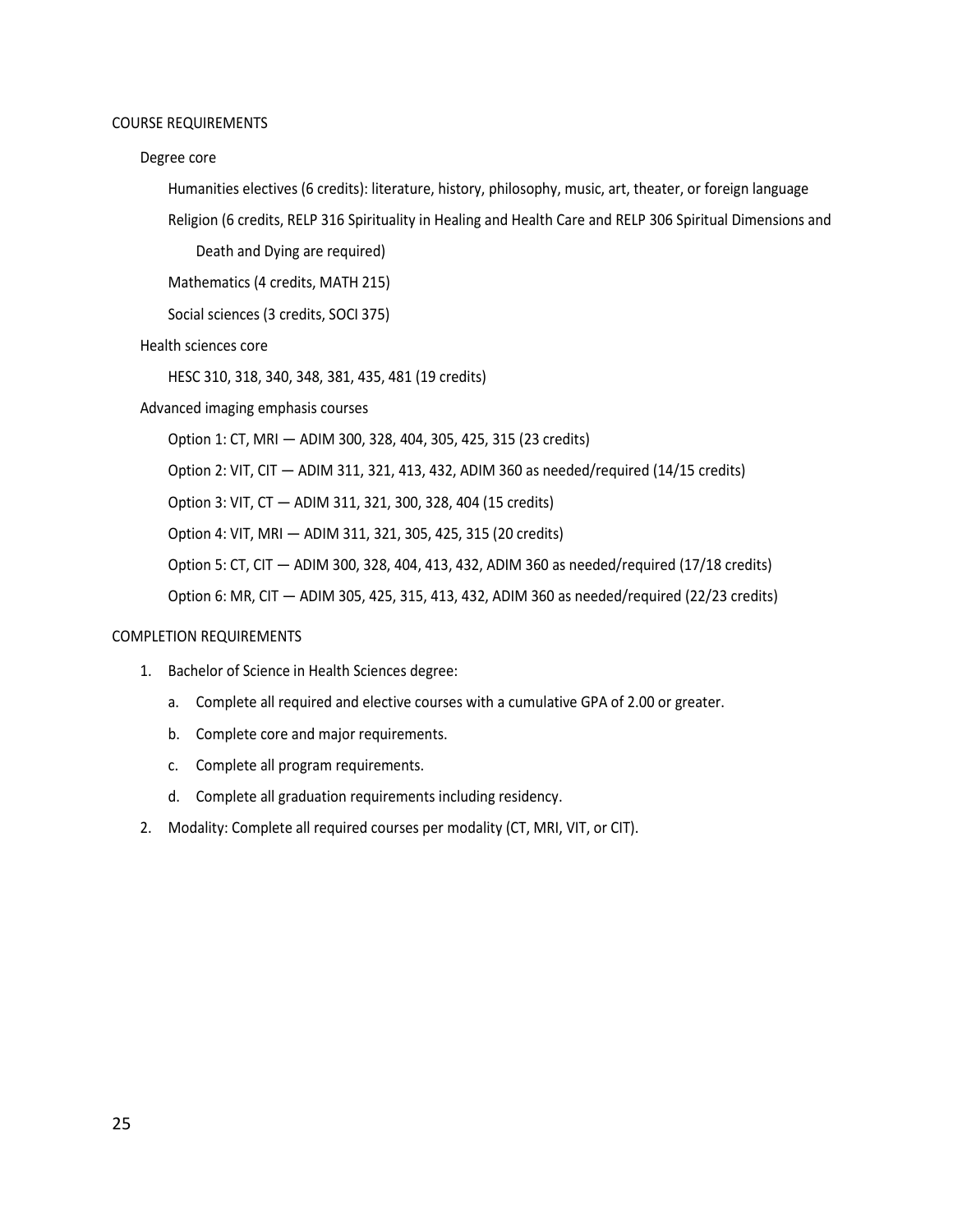#### COURSE REQUIREMENTS

#### Degree core

Humanities electives (6 credits): literature, history, philosophy, music, art, theater, or foreign language Religion (6 credits, RELP 316 Spirituality in Healing and Health Care and RELP 306 Spiritual Dimensions and

Death and Dying are required)

Mathematics (4 credits, MATH 215)

Social sciences (3 credits, SOCI 375)

Health sciences core

HESC 310, 318, 340, 348, 381, 435, 481 (19 credits)

Advanced imaging emphasis courses

Option 1: CT, MRI — ADIM 300, 328, 404, 305, 425, 315 (23 credits)

Option 2: VIT, CIT — ADIM 311, 321, 413, 432, ADIM 360 as needed/required (14/15 credits)

Option 3: VIT, CT — ADIM 311, 321, 300, 328, 404 (15 credits)

Option 4: VIT, MRI — ADIM 311, 321, 305, 425, 315 (20 credits)

Option 5: CT, CIT — ADIM 300, 328, 404, 413, 432, ADIM 360 as needed/required (17/18 credits)

Option 6: MR, CIT — ADIM 305, 425, 315, 413, 432, ADIM 360 as needed/required (22/23 credits)

#### COMPLETION REQUIREMENTS

- 1. Bachelor of Science in Health Sciences degree:
	- a. Complete all required and elective courses with a cumulative GPA of 2.00 or greater.
	- b. Complete core and major requirements.
	- c. Complete all program requirements.
	- d. Complete all graduation requirements including residency.
- 2. Modality: Complete all required courses per modality (CT, MRI, VIT, or CIT).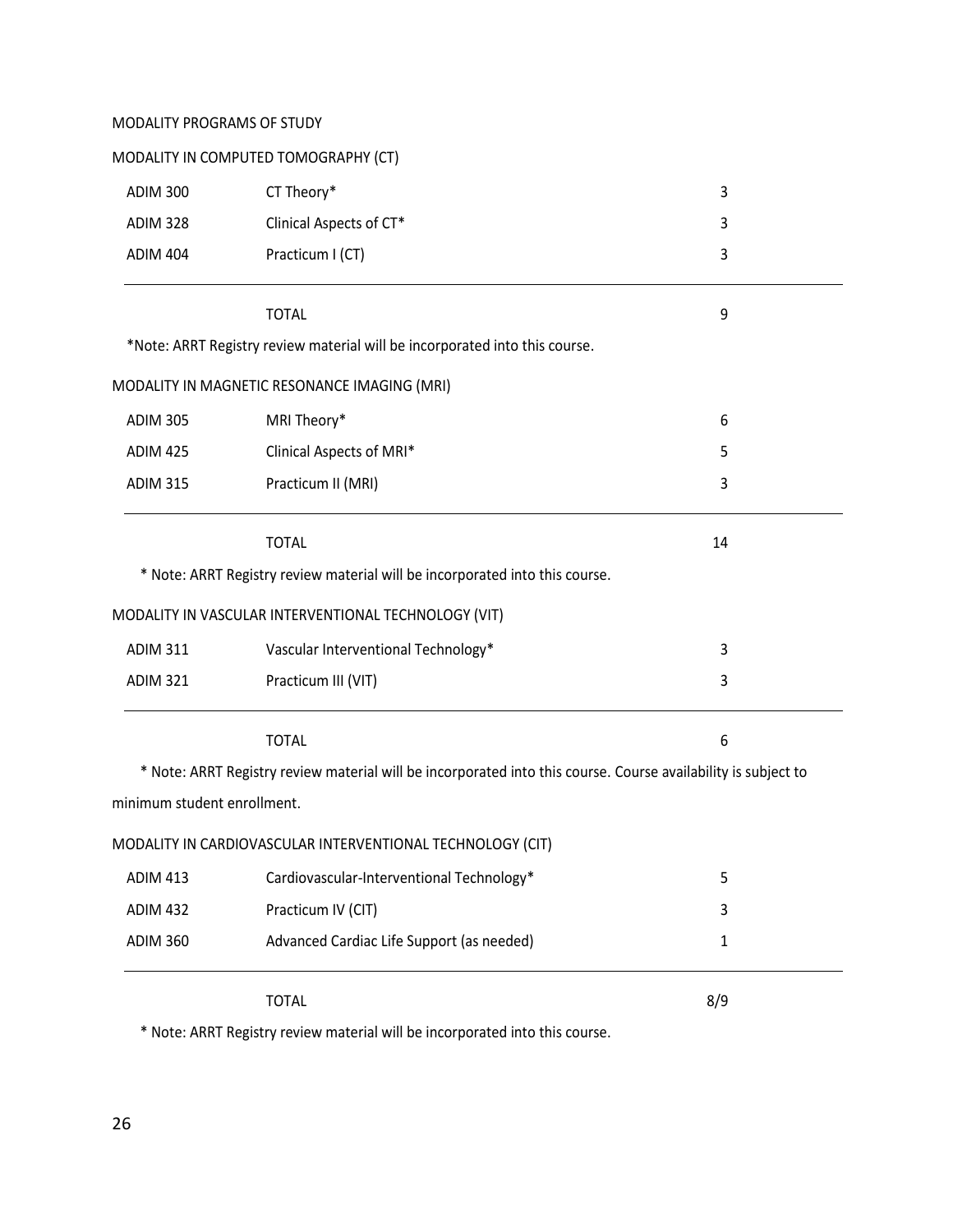#### MODALITY PROGRAMS OF STUDY

|  |  | MODALITY IN COMPUTED TOMOGRAPHY (CT) |  |
|--|--|--------------------------------------|--|
|--|--|--------------------------------------|--|

| <b>ADIM 300</b>             | CT Theory*                                                                                                     | 3            |
|-----------------------------|----------------------------------------------------------------------------------------------------------------|--------------|
| <b>ADIM 328</b>             | Clinical Aspects of CT*                                                                                        | 3            |
| <b>ADIM 404</b>             | Practicum I (CT)                                                                                               | 3            |
|                             | <b>TOTAL</b>                                                                                                   | 9            |
|                             | *Note: ARRT Registry review material will be incorporated into this course.                                    |              |
|                             | MODALITY IN MAGNETIC RESONANCE IMAGING (MRI)                                                                   |              |
| <b>ADIM 305</b>             | MRI Theory*                                                                                                    | 6            |
| <b>ADIM 425</b>             | Clinical Aspects of MRI*                                                                                       | 5            |
| <b>ADIM 315</b>             | Practicum II (MRI)                                                                                             | 3            |
|                             | <b>TOTAL</b>                                                                                                   | 14           |
|                             | * Note: ARRT Registry review material will be incorporated into this course.                                   |              |
|                             | MODALITY IN VASCULAR INTERVENTIONAL TECHNOLOGY (VIT)                                                           |              |
| <b>ADIM 311</b>             | Vascular Interventional Technology*                                                                            | 3            |
| <b>ADIM 321</b>             | Practicum III (VIT)                                                                                            | 3            |
|                             | <b>TOTAL</b>                                                                                                   | 6            |
|                             | * Note: ARRT Registry review material will be incorporated into this course. Course availability is subject to |              |
| minimum student enrollment. |                                                                                                                |              |
|                             | MODALITY IN CARDIOVASCULAR INTERVENTIONAL TECHNOLOGY (CIT)                                                     |              |
| <b>ADIM 413</b>             | Cardiovascular-Interventional Technology*                                                                      | 5            |
| <b>ADIM 432</b>             | Practicum IV (CIT)                                                                                             | 3            |
| <b>ADIM 360</b>             | Advanced Cardiac Life Support (as needed)                                                                      | $\mathbf{1}$ |
|                             | <b>TOTAL</b>                                                                                                   | 8/9          |

\* Note: ARRT Registry review material will be incorporated into this course.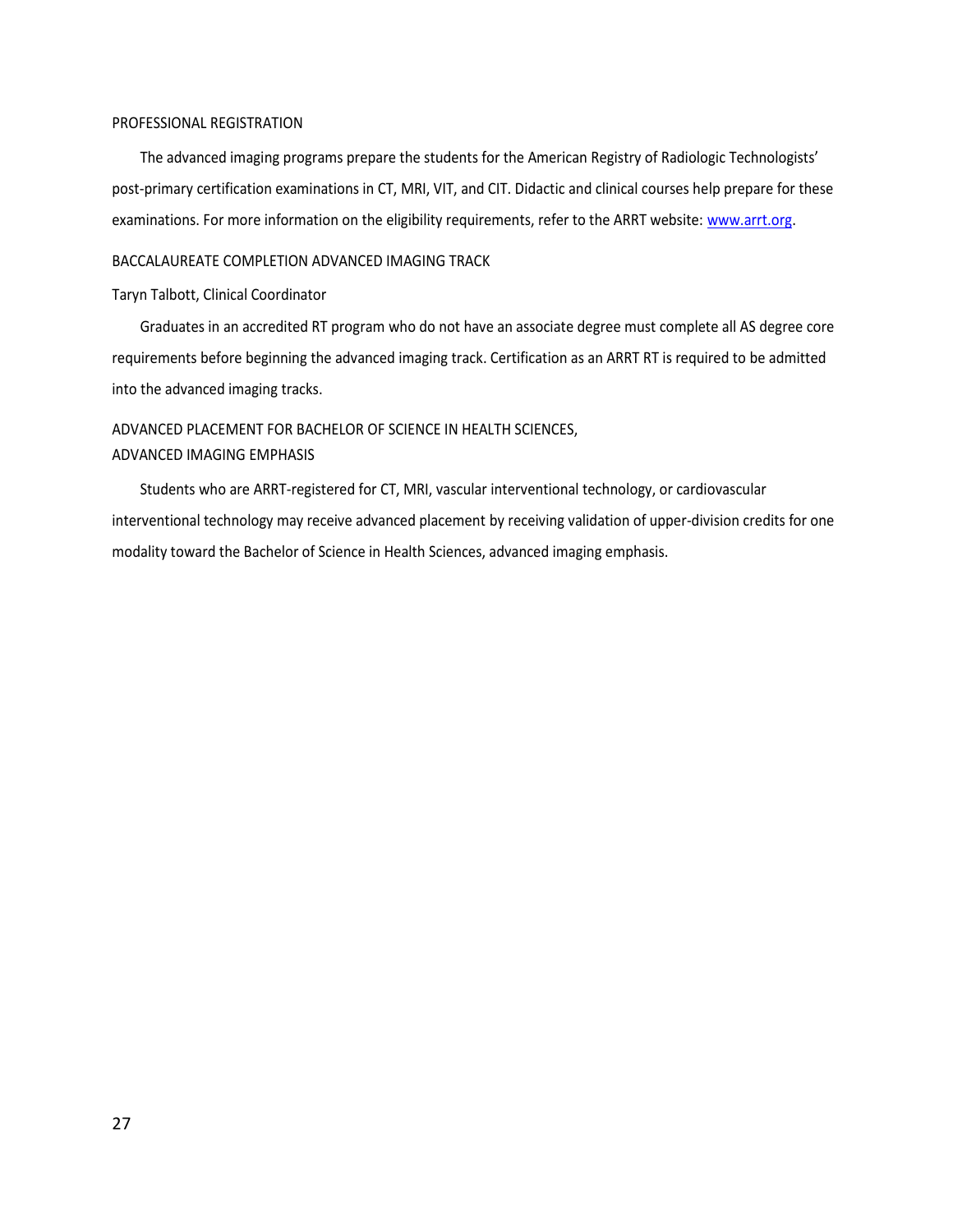#### PROFESSIONAL REGISTRATION

The advanced imaging programs prepare the students for the American Registry of Radiologic Technologists' post-primary certification examinations in CT, MRI, VIT, and CIT. Didactic and clinical courses help prepare for these examinations. For more information on the eligibility requirements, refer to the ARRT website: [www.arrt.org.](http://www.arrt.org/)

#### BACCALAUREATE COMPLETION ADVANCED IMAGING TRACK

#### Taryn Talbott, Clinical Coordinator

Graduates in an accredited RT program who do not have an associate degree must complete all AS degree core requirements before beginning the advanced imaging track. Certification as an ARRT RT is required to be admitted into the advanced imaging tracks.

#### ADVANCED PLACEMENT FOR BACHELOR OF SCIENCE IN HEALTH SCIENCES, ADVANCED IMAGING EMPHASIS

Students who are ARRT-registered for CT, MRI, vascular interventional technology, or cardiovascular interventional technology may receive advanced placement by receiving validation of upper-division credits for one modality toward the Bachelor of Science in Health Sciences, advanced imaging emphasis.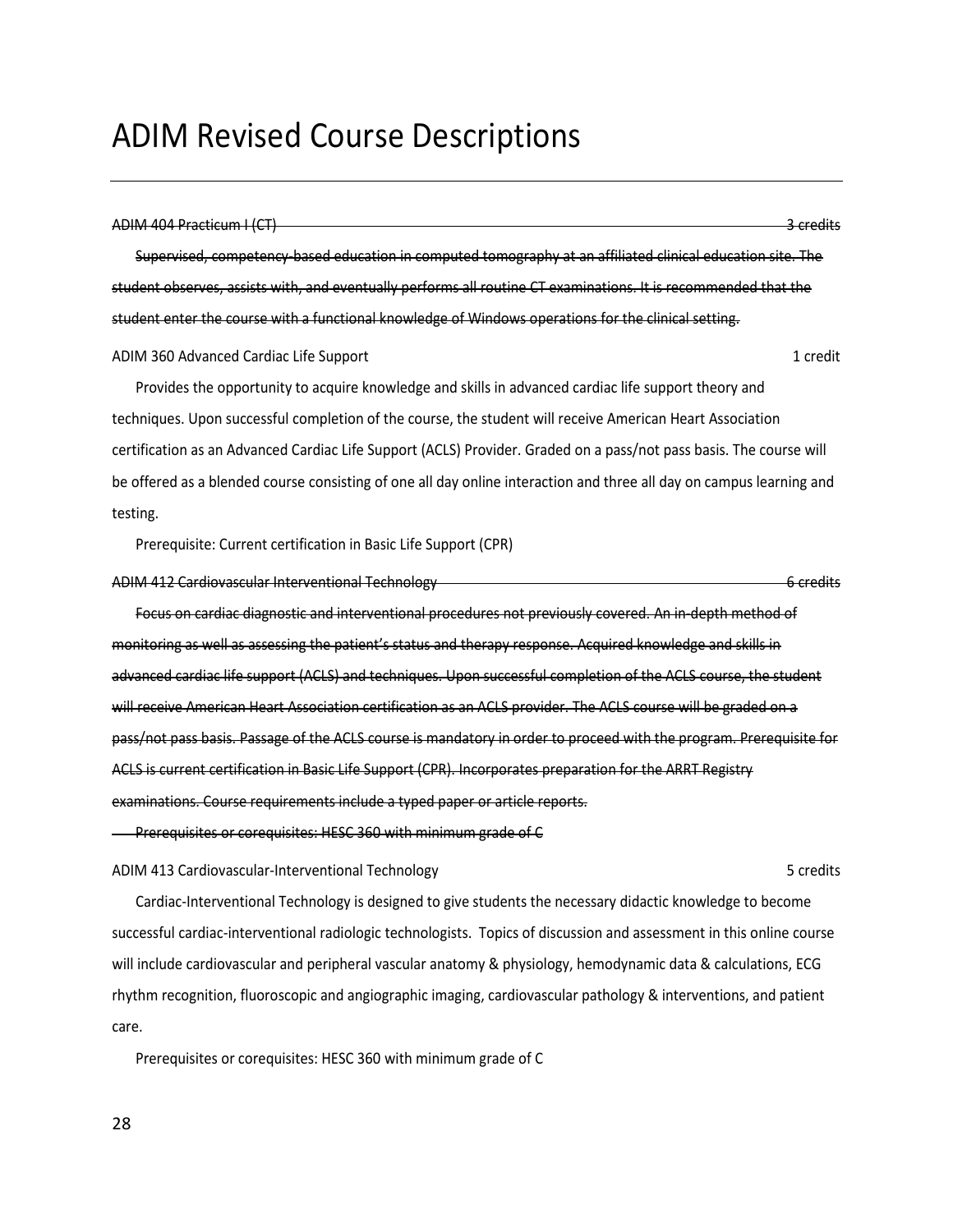#### <span id="page-27-0"></span>ADIM 404 Practicum I (CT) 3 credits

Supervised, competency-based education in computed tomography at an affiliated clinical education site. The student observes, assists with, and eventually performs all routine CT examinations. It is recommended that the student enter the course with a functional knowledge of Windows operations for the clinical setting.

ADIM 360 Advanced Cardiac Life Support 1 credit 1 credit 1 credit

Provides the opportunity to acquire knowledge and skills in advanced cardiac life support theory and techniques. Upon successful completion of the course, the student will receive American Heart Association certification as an Advanced Cardiac Life Support (ACLS) Provider. Graded on a pass/not pass basis. The course will be offered as a blended course consisting of one all day online interaction and three all day on campus learning and testing.

Prerequisite: Current certification in Basic Life Support (CPR)

ADIM 412 Cardiovascular Interventional Technology **6 contract of the Cardiovascular Interventional Technology** 6 credits

Focus on cardiac diagnostic and interventional procedures not previously covered. An in-depth method of monitoring as well as assessing the patient's status and therapy response. Acquired knowledge and skills in advanced cardiac life support (ACLS) and techniques. Upon successful completion of the ACLS course, the student will receive American Heart Association certification as an ACLS provider. The ACLS course will be graded on a pass/not pass basis. Passage of the ACLS course is mandatory in order to proceed with the program. Prerequisite for ACLS is current certification in Basic Life Support (CPR). Incorporates preparation for the ARRT Registry examinations. Course requirements include a typed paper or article reports.

Prerequisites or corequisites: HESC 360 with minimum grade of C

ADIM 413 Cardiovascular-Interventional Technology **5** credits 3 credits

Cardiac-Interventional Technology is designed to give students the necessary didactic knowledge to become successful cardiac-interventional radiologic technologists. Topics of discussion and assessment in this online course will include cardiovascular and peripheral vascular anatomy & physiology, hemodynamic data & calculations, ECG rhythm recognition, fluoroscopic and angiographic imaging, cardiovascular pathology & interventions, and patient care.

Prerequisites or corequisites: HESC 360 with minimum grade of C